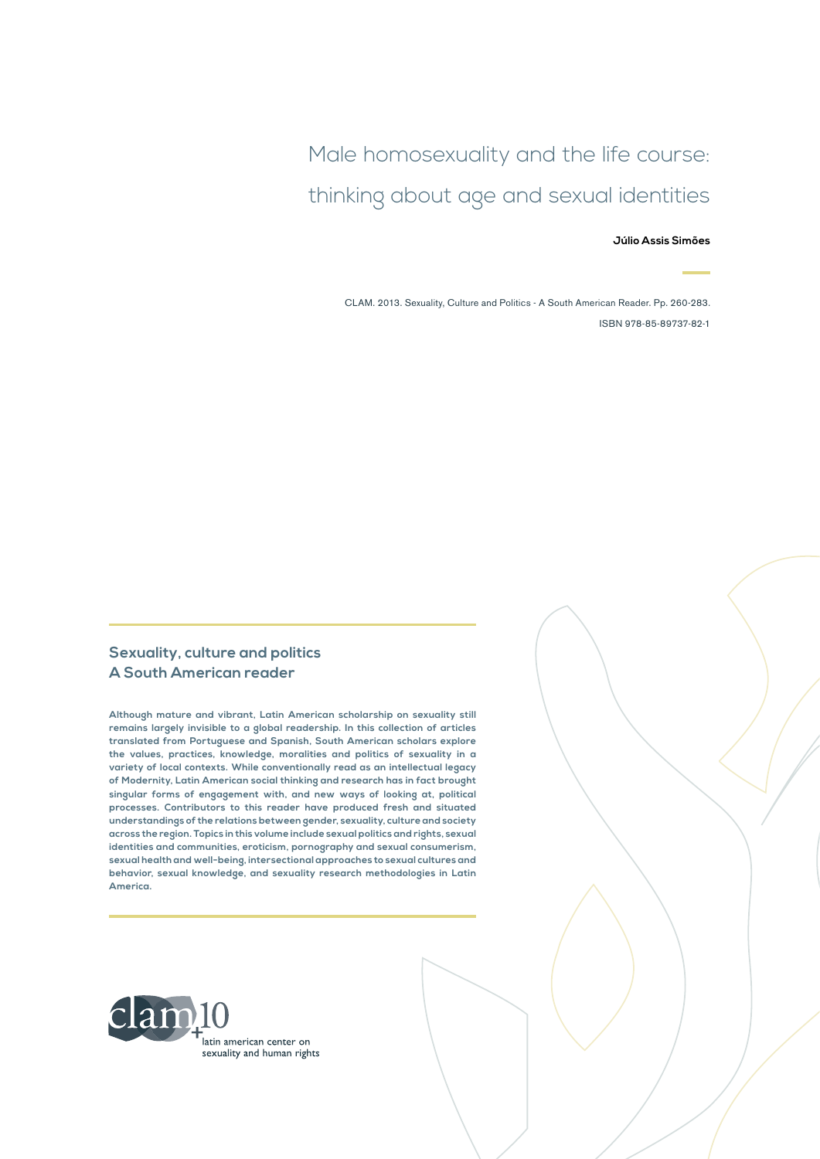Male homosexuality and the life course: thinking about age and sexual identities

#### **Júlio Assis Simões**

CLAM. 2013. Sexuality, Culture and Politics - A South American Reader. Pp. 260-283. ISBN 978-85-89737-82-1

#### **Sexuality, culture and politics A South American reader**

**Although mature and vibrant, Latin American scholarship on sexuality still remains largely invisible to a global readership. In this collection of articles translated from Portuguese and Spanish, South American scholars explore the values, practices, knowledge, moralities and politics of sexuality in a variety of local contexts. While conventionally read as an intellectual legacy of Modernity, Latin American social thinking and research has in fact brought singular forms of engagement with, and new ways of looking at, political processes. Contributors to this reader have produced fresh and situated understandings of the relations between gender, sexuality, culture and society across the region. Topics in this volume include sexual politics and rights, sexual identities and communities, eroticism, pornography and sexual consumerism, sexual health and well-being, intersectional approaches to sexual cultures and behavior, sexual knowledge, and sexuality research methodologies in Latin America.**

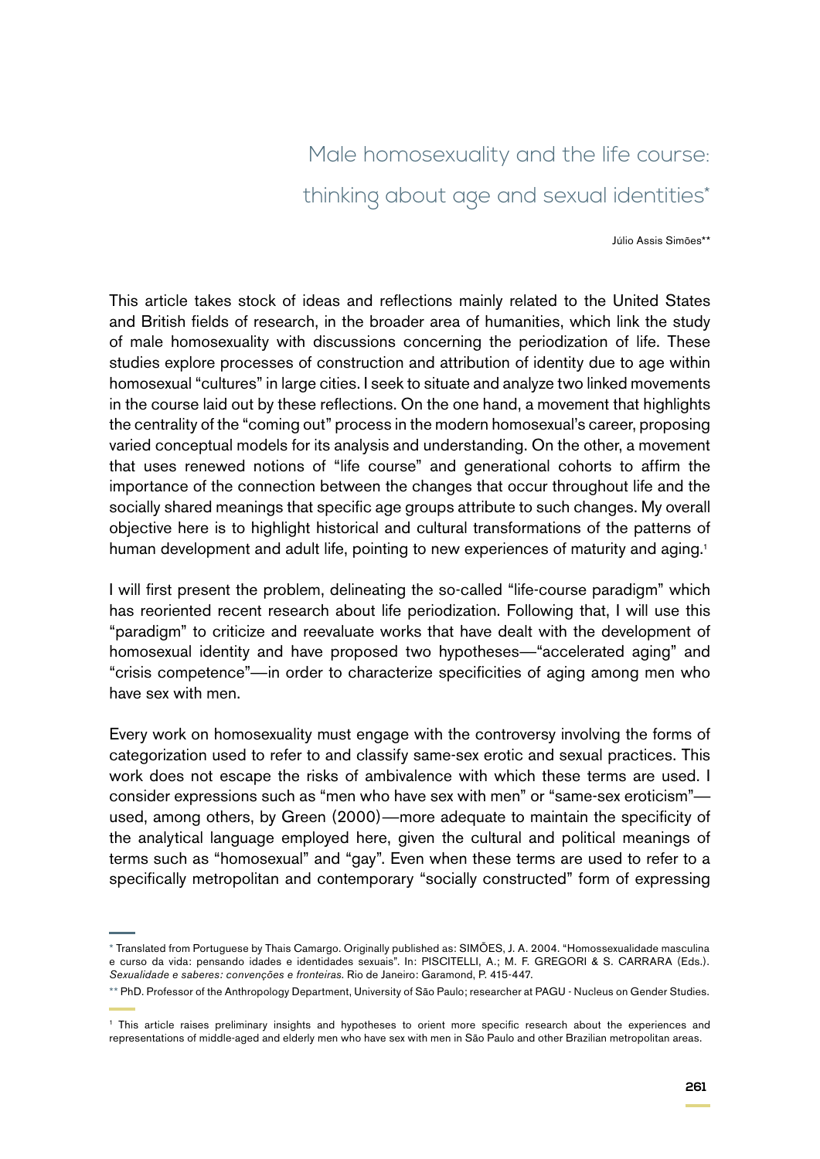# Male homosexuality and the life course: thinking about age and sexual identities\*

Júlio Assis Simões\*\*

This article takes stock of ideas and reflections mainly related to the United States and British fields of research, in the broader area of humanities, which link the study of male homosexuality with discussions concerning the periodization of life. These studies explore processes of construction and attribution of identity due to age within homosexual "cultures" in large cities. I seek to situate and analyze two linked movements in the course laid out by these reflections. On the one hand, a movement that highlights the centrality of the "coming out" process in the modern homosexual's career, proposing varied conceptual models for its analysis and understanding. On the other, a movement that uses renewed notions of "life course" and generational cohorts to affirm the importance of the connection between the changes that occur throughout life and the socially shared meanings that specific age groups attribute to such changes. My overall objective here is to highlight historical and cultural transformations of the patterns of human development and adult life, pointing to new experiences of maturity and aging.<sup>1</sup>

I will first present the problem, delineating the so-called "life-course paradigm" which has reoriented recent research about life periodization. Following that, I will use this "paradigm" to criticize and reevaluate works that have dealt with the development of homosexual identity and have proposed two hypotheses—"accelerated aging" and "crisis competence"—in order to characterize specificities of aging among men who have sex with men.

Every work on homosexuality must engage with the controversy involving the forms of categorization used to refer to and classify same-sex erotic and sexual practices. This work does not escape the risks of ambivalence with which these terms are used. I consider expressions such as "men who have sex with men" or "same-sex eroticism" used, among others, by Green (2000)—more adequate to maintain the specificity of the analytical language employed here, given the cultural and political meanings of terms such as "homosexual" and "gay". Even when these terms are used to refer to a specifically metropolitan and contemporary "socially constructed" form of expressing

<sup>\*</sup> Translated from Portuguese by Thais Camargo. Originally published as: SIMÕES, J. A. 2004. "Homossexualidade masculina e curso da vida: pensando idades e identidades sexuais". In: PISCITELLI, A.; M. F. GREGORI & S. CARRARA (Eds.). *Sexualidade e saberes: convenções e fronteiras*. Rio de Janeiro: Garamond, P. 415-447.

<sup>\*\*</sup> PhD. Professor of the Anthropology Department, University of São Paulo; researcher at PAGU - Nucleus on Gender Studies.

<sup>&</sup>lt;sup>1</sup> This article raises preliminary insights and hypotheses to orient more specific research about the experiences and representations of middle-aged and elderly men who have sex with men in São Paulo and other Brazilian metropolitan areas.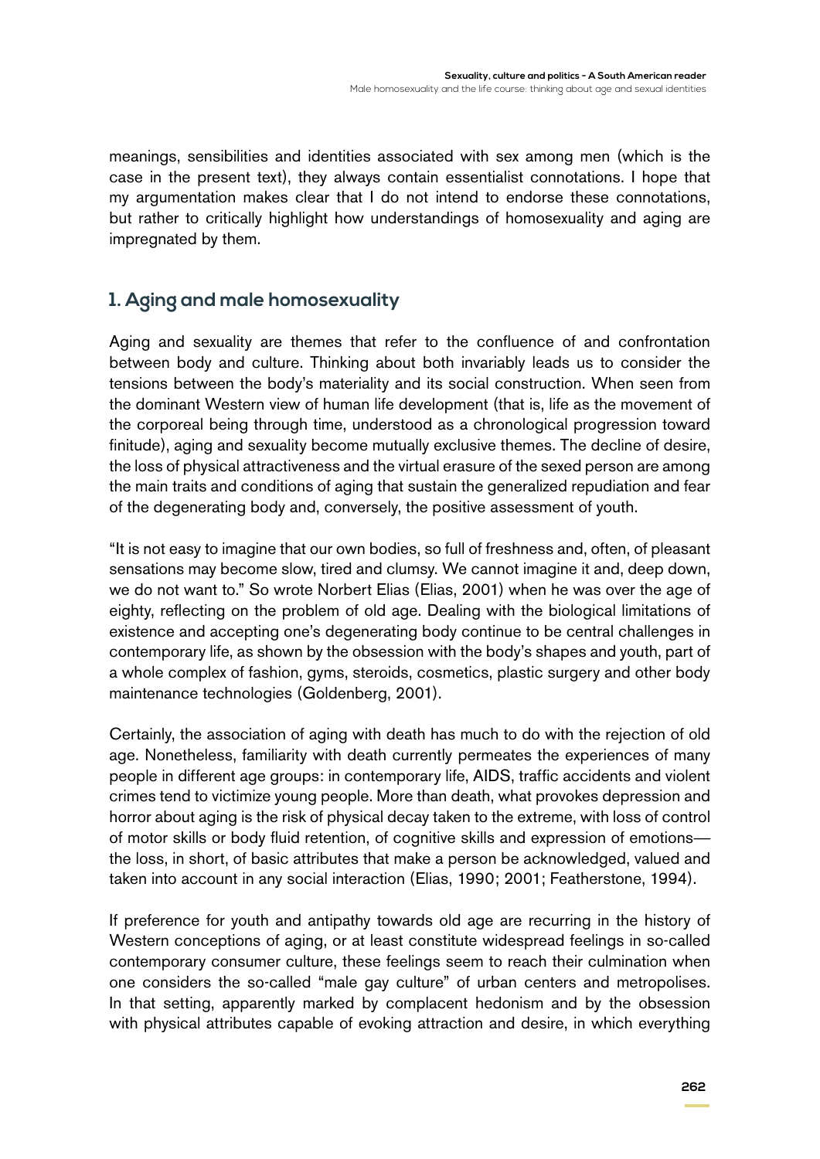meanings, sensibilities and identities associated with sex among men (which is the case in the present text), they always contain essentialist connotations. I hope that my argumentation makes clear that I do not intend to endorse these connotations, but rather to critically highlight how understandings of homosexuality and aging are impregnated by them.

## **1. Aging and male homosexuality**

Aging and sexuality are themes that refer to the confluence of and confrontation between body and culture. Thinking about both invariably leads us to consider the tensions between the body's materiality and its social construction. When seen from the dominant Western view of human life development (that is, life as the movement of the corporeal being through time, understood as a chronological progression toward finitude), aging and sexuality become mutually exclusive themes. The decline of desire, the loss of physical attractiveness and the virtual erasure of the sexed person are among the main traits and conditions of aging that sustain the generalized repudiation and fear of the degenerating body and, conversely, the positive assessment of youth.

"It is not easy to imagine that our own bodies, so full of freshness and, often, of pleasant sensations may become slow, tired and clumsy. We cannot imagine it and, deep down, we do not want to." So wrote Norbert Elias (Elias, 2001) when he was over the age of eighty, reflecting on the problem of old age. Dealing with the biological limitations of existence and accepting one's degenerating body continue to be central challenges in contemporary life, as shown by the obsession with the body's shapes and youth, part of a whole complex of fashion, gyms, steroids, cosmetics, plastic surgery and other body maintenance technologies (Goldenberg, 2001).

Certainly, the association of aging with death has much to do with the rejection of old age. Nonetheless, familiarity with death currently permeates the experiences of many people in different age groups: in contemporary life, AIDS, traffic accidents and violent crimes tend to victimize young people. More than death, what provokes depression and horror about aging is the risk of physical decay taken to the extreme, with loss of control of motor skills or body fluid retention, of cognitive skills and expression of emotions the loss, in short, of basic attributes that make a person be acknowledged, valued and taken into account in any social interaction (Elias, 1990; 2001; Featherstone, 1994).

If preference for youth and antipathy towards old age are recurring in the history of Western conceptions of aging, or at least constitute widespread feelings in so-called contemporary consumer culture, these feelings seem to reach their culmination when one considers the so-called "male gay culture" of urban centers and metropolises. In that setting, apparently marked by complacent hedonism and by the obsession with physical attributes capable of evoking attraction and desire, in which everything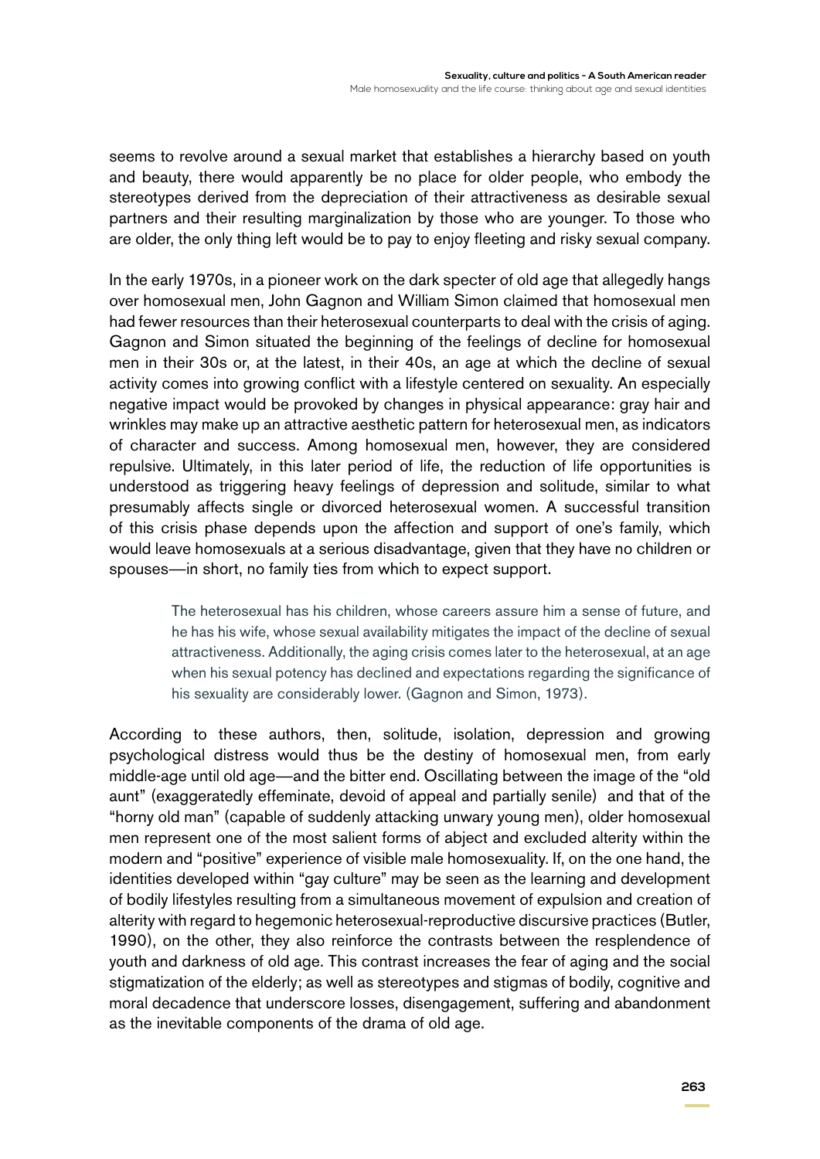seems to revolve around a sexual market that establishes a hierarchy based on youth and beauty, there would apparently be no place for older people, who embody the stereotypes derived from the depreciation of their attractiveness as desirable sexual partners and their resulting marginalization by those who are younger. To those who are older, the only thing left would be to pay to enjoy fleeting and risky sexual company.

In the early 1970s, in a pioneer work on the dark specter of old age that allegedly hangs over homosexual men, John Gagnon and William Simon claimed that homosexual men had fewer resources than their heterosexual counterparts to deal with the crisis of aging. Gagnon and Simon situated the beginning of the feelings of decline for homosexual men in their 30s or, at the latest, in their 40s, an age at which the decline of sexual activity comes into growing conflict with a lifestyle centered on sexuality. An especially negative impact would be provoked by changes in physical appearance: gray hair and wrinkles may make up an attractive aesthetic pattern for heterosexual men, as indicators of character and success. Among homosexual men, however, they are considered repulsive. Ultimately, in this later period of life, the reduction of life opportunities is understood as triggering heavy feelings of depression and solitude, similar to what presumably affects single or divorced heterosexual women. A successful transition of this crisis phase depends upon the affection and support of one's family, which would leave homosexuals at a serious disadvantage, given that they have no children or spouses—in short, no family ties from which to expect support.

> The heterosexual has his children, whose careers assure him a sense of future, and he has his wife, whose sexual availability mitigates the impact of the decline of sexual attractiveness. Additionally, the aging crisis comes later to the heterosexual, at an age when his sexual potency has declined and expectations regarding the significance of his sexuality are considerably lower. (Gagnon and Simon, 1973).

According to these authors, then, solitude, isolation, depression and growing psychological distress would thus be the destiny of homosexual men, from early middle-age until old age—and the bitter end. Oscillating between the image of the "old aunt" (exaggeratedly effeminate, devoid of appeal and partially senile) and that of the "horny old man" (capable of suddenly attacking unwary young men), older homosexual men represent one of the most salient forms of abject and excluded alterity within the modern and "positive" experience of visible male homosexuality. If, on the one hand, the identities developed within "gay culture" may be seen as the learning and development of bodily lifestyles resulting from a simultaneous movement of expulsion and creation of alterity with regard to hegemonic heterosexual-reproductive discursive practices (Butler, 1990), on the other, they also reinforce the contrasts between the resplendence of youth and darkness of old age. This contrast increases the fear of aging and the social stigmatization of the elderly; as well as stereotypes and stigmas of bodily, cognitive and moral decadence that underscore losses, disengagement, suffering and abandonment as the inevitable components of the drama of old age.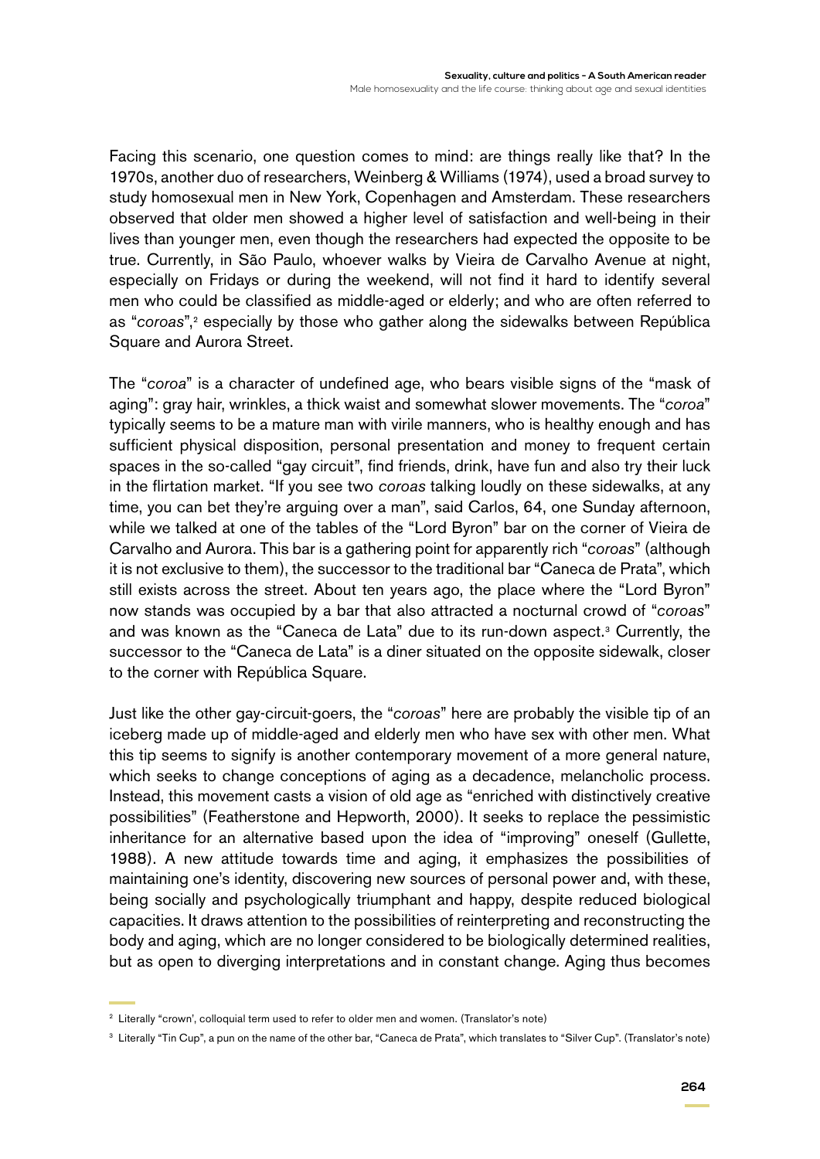Facing this scenario, one question comes to mind: are things really like that? In the 1970s, another duo of researchers, Weinberg & Williams (1974), used a broad survey to study homosexual men in New York, Copenhagen and Amsterdam. These researchers observed that older men showed a higher level of satisfaction and well-being in their lives than younger men, even though the researchers had expected the opposite to be true. Currently, in São Paulo, whoever walks by Vieira de Carvalho Avenue at night, especially on Fridays or during the weekend, will not find it hard to identify several men who could be classified as middle-aged or elderly; and who are often referred to as "*coroas*",<sup>2</sup> especially by those who gather along the sidewalks between República Square and Aurora Street.

The "*coroa*" is a character of undefined age, who bears visible signs of the "mask of aging": gray hair, wrinkles, a thick waist and somewhat slower movements. The "*coroa*" typically seems to be a mature man with virile manners, who is healthy enough and has sufficient physical disposition, personal presentation and money to frequent certain spaces in the so-called "gay circuit", find friends, drink, have fun and also try their luck in the flirtation market. "If you see two *coroas* talking loudly on these sidewalks, at any time, you can bet they're arguing over a man", said Carlos, 64, one Sunday afternoon, while we talked at one of the tables of the "Lord Byron" bar on the corner of Vieira de Carvalho and Aurora. This bar is a gathering point for apparently rich "*coroas*" (although it is not exclusive to them), the successor to the traditional bar "Caneca de Prata", which still exists across the street. About ten years ago, the place where the "Lord Byron" now stands was occupied by a bar that also attracted a nocturnal crowd of "*coroas*" and was known as the "Caneca de Lata" due to its run-down aspect.<sup>3</sup> Currently, the successor to the "Caneca de Lata" is a diner situated on the opposite sidewalk, closer to the corner with República Square.

Just like the other gay-circuit-goers, the "*coroas*" here are probably the visible tip of an iceberg made up of middle-aged and elderly men who have sex with other men. What this tip seems to signify is another contemporary movement of a more general nature, which seeks to change conceptions of aging as a decadence, melancholic process. Instead, this movement casts a vision of old age as "enriched with distinctively creative possibilities" (Featherstone and Hepworth, 2000). It seeks to replace the pessimistic inheritance for an alternative based upon the idea of "improving" oneself (Gullette, 1988). A new attitude towards time and aging, it emphasizes the possibilities of maintaining one's identity, discovering new sources of personal power and, with these, being socially and psychologically triumphant and happy, despite reduced biological capacities. It draws attention to the possibilities of reinterpreting and reconstructing the body and aging, which are no longer considered to be biologically determined realities, but as open to diverging interpretations and in constant change. Aging thus becomes

<sup>&</sup>lt;sup>2</sup> Literally "crown', colloquial term used to refer to older men and women. (Translator's note)

<sup>3</sup> Literally "Tin Cup", a pun on the name of the other bar, "Caneca de Prata", which translates to "Silver Cup". (Translator's note)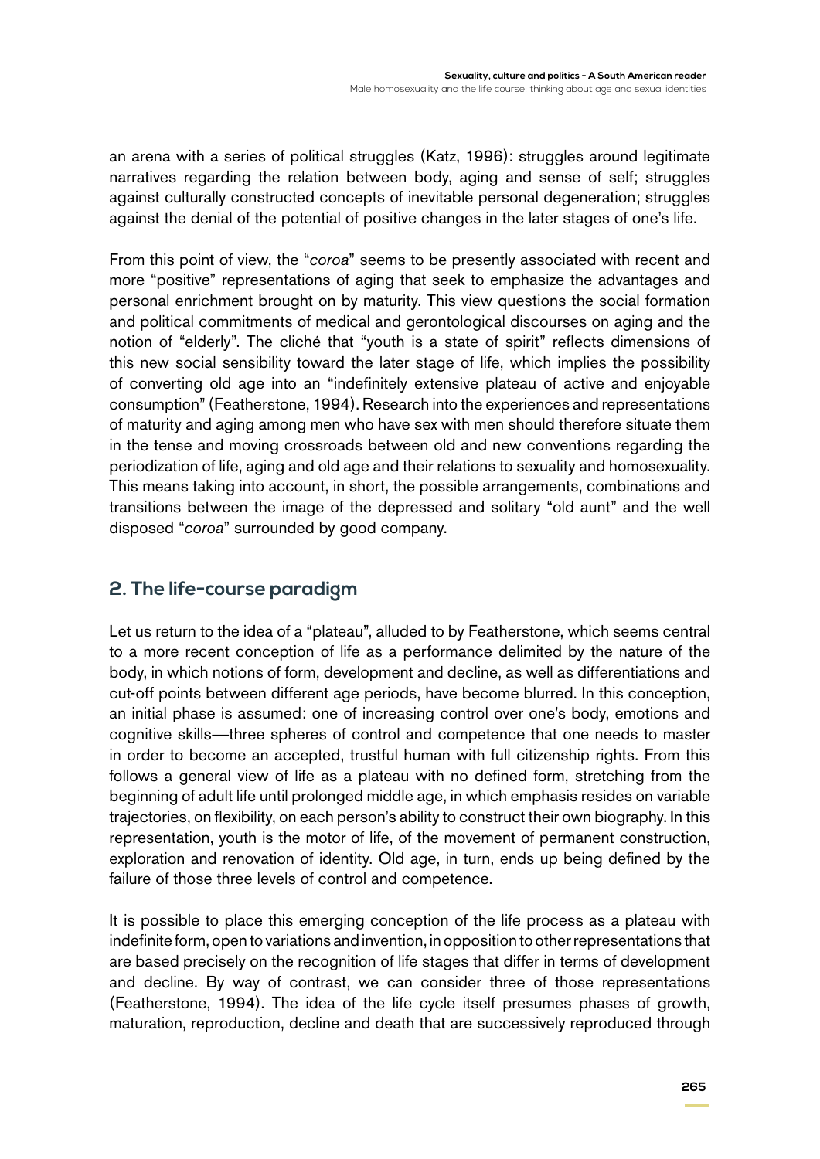an arena with a series of political struggles (Katz, 1996): struggles around legitimate narratives regarding the relation between body, aging and sense of self; struggles against culturally constructed concepts of inevitable personal degeneration; struggles against the denial of the potential of positive changes in the later stages of one's life.

From this point of view, the "*coroa*" seems to be presently associated with recent and more "positive" representations of aging that seek to emphasize the advantages and personal enrichment brought on by maturity. This view questions the social formation and political commitments of medical and gerontological discourses on aging and the notion of "elderly". The cliché that "youth is a state of spirit" reflects dimensions of this new social sensibility toward the later stage of life, which implies the possibility of converting old age into an "indefinitely extensive plateau of active and enjoyable consumption" (Featherstone, 1994). Research into the experiences and representations of maturity and aging among men who have sex with men should therefore situate them in the tense and moving crossroads between old and new conventions regarding the periodization of life, aging and old age and their relations to sexuality and homosexuality. This means taking into account, in short, the possible arrangements, combinations and transitions between the image of the depressed and solitary "old aunt" and the well disposed "*coroa*" surrounded by good company.

# **2. The life-course paradigm**

Let us return to the idea of a "plateau", alluded to by Featherstone, which seems central to a more recent conception of life as a performance delimited by the nature of the body, in which notions of form, development and decline, as well as differentiations and cut-off points between different age periods, have become blurred. In this conception, an initial phase is assumed: one of increasing control over one's body, emotions and cognitive skills—three spheres of control and competence that one needs to master in order to become an accepted, trustful human with full citizenship rights. From this follows a general view of life as a plateau with no defined form, stretching from the beginning of adult life until prolonged middle age, in which emphasis resides on variable trajectories, on flexibility, on each person's ability to construct their own biography. In this representation, youth is the motor of life, of the movement of permanent construction, exploration and renovation of identity. Old age, in turn, ends up being defined by the failure of those three levels of control and competence.

It is possible to place this emerging conception of the life process as a plateau with indefinite form, open to variations and invention, in opposition to other representations that are based precisely on the recognition of life stages that differ in terms of development and decline. By way of contrast, we can consider three of those representations (Featherstone, 1994). The idea of the life cycle itself presumes phases of growth, maturation, reproduction, decline and death that are successively reproduced through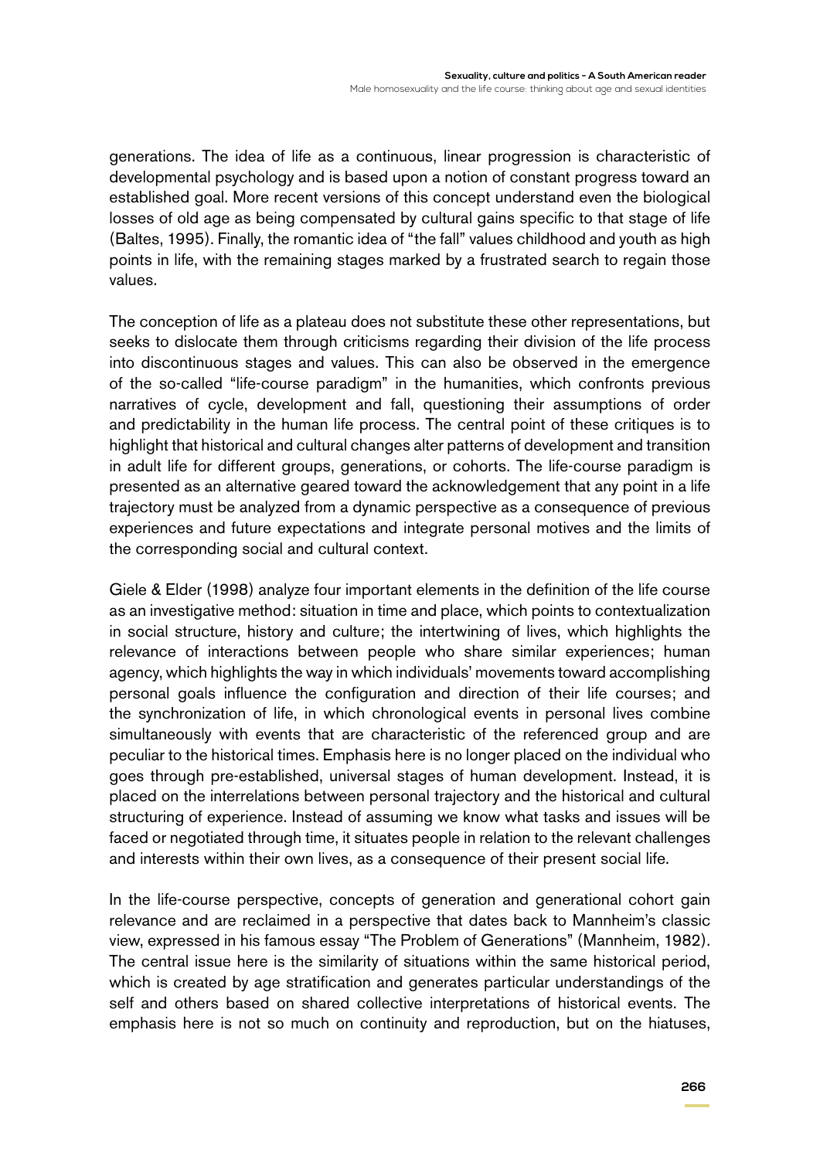generations. The idea of life as a continuous, linear progression is characteristic of developmental psychology and is based upon a notion of constant progress toward an established goal. More recent versions of this concept understand even the biological losses of old age as being compensated by cultural gains specific to that stage of life (Baltes, 1995). Finally, the romantic idea of "the fall" values childhood and youth as high points in life, with the remaining stages marked by a frustrated search to regain those values.

The conception of life as a plateau does not substitute these other representations, but seeks to dislocate them through criticisms regarding their division of the life process into discontinuous stages and values. This can also be observed in the emergence of the so-called "life-course paradigm" in the humanities, which confronts previous narratives of cycle, development and fall, questioning their assumptions of order and predictability in the human life process. The central point of these critiques is to highlight that historical and cultural changes alter patterns of development and transition in adult life for different groups, generations, or cohorts. The life-course paradigm is presented as an alternative geared toward the acknowledgement that any point in a life trajectory must be analyzed from a dynamic perspective as a consequence of previous experiences and future expectations and integrate personal motives and the limits of the corresponding social and cultural context.

Giele & Elder (1998) analyze four important elements in the definition of the life course as an investigative method: situation in time and place, which points to contextualization in social structure, history and culture; the intertwining of lives, which highlights the relevance of interactions between people who share similar experiences; human agency, which highlights the way in which individuals' movements toward accomplishing personal goals influence the configuration and direction of their life courses; and the synchronization of life, in which chronological events in personal lives combine simultaneously with events that are characteristic of the referenced group and are peculiar to the historical times. Emphasis here is no longer placed on the individual who goes through pre-established, universal stages of human development. Instead, it is placed on the interrelations between personal trajectory and the historical and cultural structuring of experience. Instead of assuming we know what tasks and issues will be faced or negotiated through time, it situates people in relation to the relevant challenges and interests within their own lives, as a consequence of their present social life.

In the life-course perspective, concepts of generation and generational cohort gain relevance and are reclaimed in a perspective that dates back to Mannheim's classic view, expressed in his famous essay "The Problem of Generations" (Mannheim, 1982). The central issue here is the similarity of situations within the same historical period, which is created by age stratification and generates particular understandings of the self and others based on shared collective interpretations of historical events. The emphasis here is not so much on continuity and reproduction, but on the hiatuses,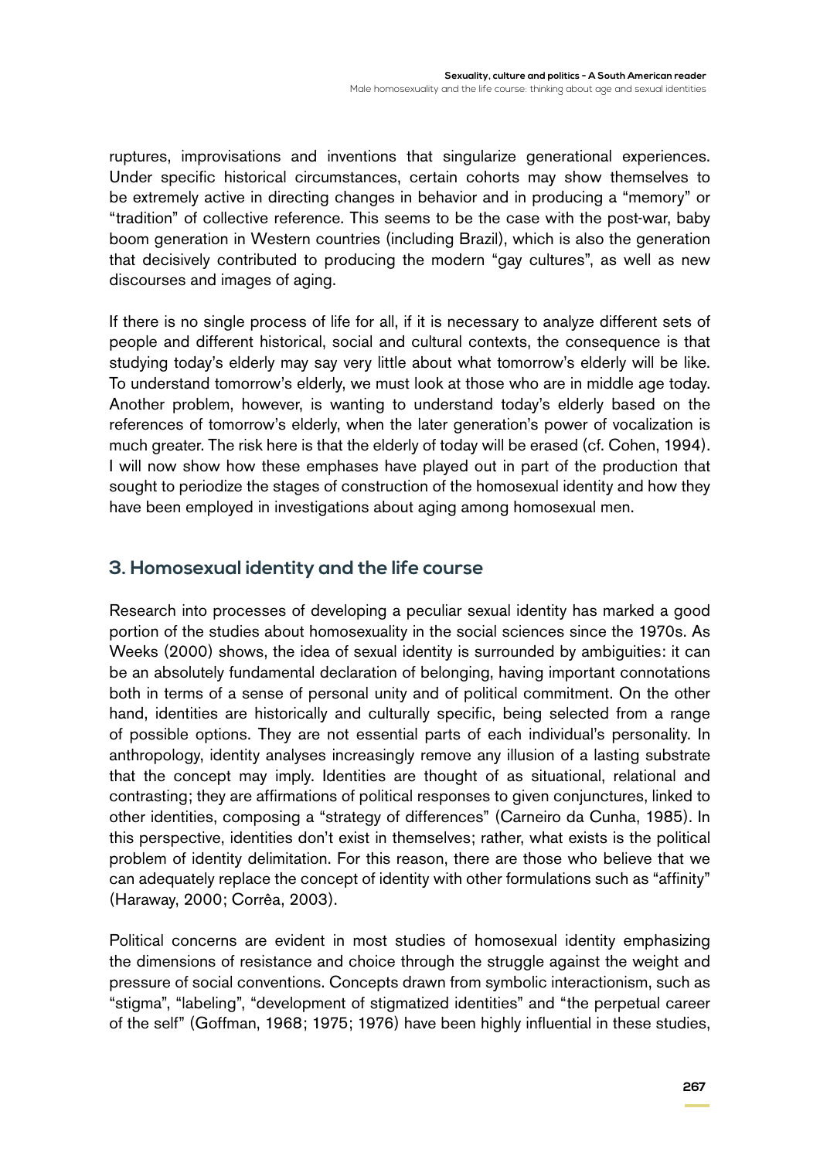ruptures, improvisations and inventions that singularize generational experiences. Under specific historical circumstances, certain cohorts may show themselves to be extremely active in directing changes in behavior and in producing a "memory" or "tradition" of collective reference. This seems to be the case with the post-war, baby boom generation in Western countries (including Brazil), which is also the generation that decisively contributed to producing the modern "gay cultures", as well as new discourses and images of aging.

If there is no single process of life for all, if it is necessary to analyze different sets of people and different historical, social and cultural contexts, the consequence is that studying today's elderly may say very little about what tomorrow's elderly will be like. To understand tomorrow's elderly, we must look at those who are in middle age today. Another problem, however, is wanting to understand today's elderly based on the references of tomorrow's elderly, when the later generation's power of vocalization is much greater. The risk here is that the elderly of today will be erased (cf. Cohen, 1994). I will now show how these emphases have played out in part of the production that sought to periodize the stages of construction of the homosexual identity and how they have been employed in investigations about aging among homosexual men.

### **3. Homosexual identity and the life course**

Research into processes of developing a peculiar sexual identity has marked a good portion of the studies about homosexuality in the social sciences since the 1970s. As Weeks (2000) shows, the idea of sexual identity is surrounded by ambiguities: it can be an absolutely fundamental declaration of belonging, having important connotations both in terms of a sense of personal unity and of political commitment. On the other hand, identities are historically and culturally specific, being selected from a range of possible options. They are not essential parts of each individual's personality. In anthropology, identity analyses increasingly remove any illusion of a lasting substrate that the concept may imply. Identities are thought of as situational, relational and contrasting; they are affirmations of political responses to given conjunctures, linked to other identities, composing a "strategy of differences" (Carneiro da Cunha, 1985). In this perspective, identities don't exist in themselves; rather, what exists is the political problem of identity delimitation. For this reason, there are those who believe that we can adequately replace the concept of identity with other formulations such as "affinity" (Haraway, 2000; Corrêa, 2003).

Political concerns are evident in most studies of homosexual identity emphasizing the dimensions of resistance and choice through the struggle against the weight and pressure of social conventions. Concepts drawn from symbolic interactionism, such as "stigma", "labeling", "development of stigmatized identities" and "the perpetual career of the self" (Goffman, 1968; 1975; 1976) have been highly influential in these studies,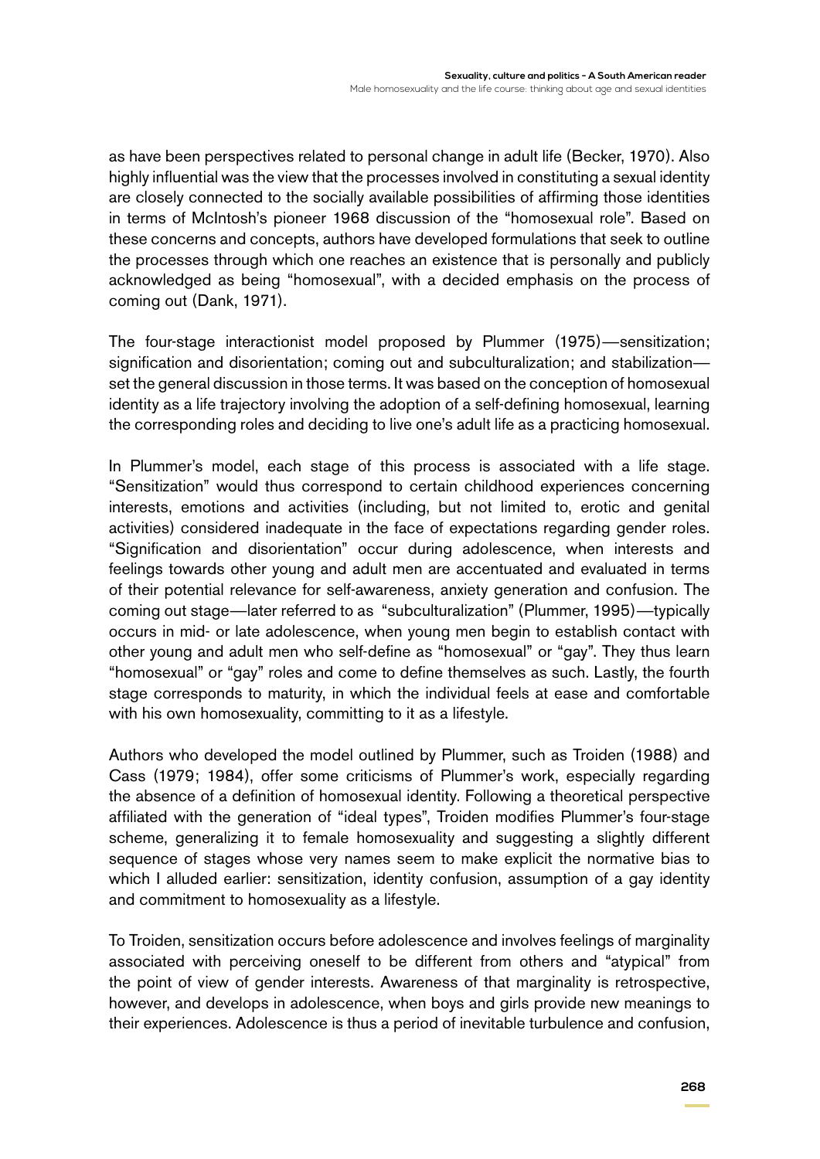as have been perspectives related to personal change in adult life (Becker, 1970). Also highly influential was the view that the processes involved in constituting a sexual identity are closely connected to the socially available possibilities of affirming those identities in terms of McIntosh's pioneer 1968 discussion of the "homosexual role". Based on these concerns and concepts, authors have developed formulations that seek to outline the processes through which one reaches an existence that is personally and publicly acknowledged as being "homosexual", with a decided emphasis on the process of coming out (Dank, 1971).

The four-stage interactionist model proposed by Plummer (1975)—sensitization; signification and disorientation; coming out and subculturalization; and stabilization set the general discussion in those terms. It was based on the conception of homosexual identity as a life trajectory involving the adoption of a self-defining homosexual, learning the corresponding roles and deciding to live one's adult life as a practicing homosexual.

In Plummer's model, each stage of this process is associated with a life stage. "Sensitization" would thus correspond to certain childhood experiences concerning interests, emotions and activities (including, but not limited to, erotic and genital activities) considered inadequate in the face of expectations regarding gender roles. "Signification and disorientation" occur during adolescence, when interests and feelings towards other young and adult men are accentuated and evaluated in terms of their potential relevance for self-awareness, anxiety generation and confusion. The coming out stage—later referred to as "subculturalization" (Plummer, 1995)—typically occurs in mid- or late adolescence, when young men begin to establish contact with other young and adult men who self-define as "homosexual" or "gay". They thus learn "homosexual" or "gay" roles and come to define themselves as such. Lastly, the fourth stage corresponds to maturity, in which the individual feels at ease and comfortable with his own homosexuality, committing to it as a lifestyle.

Authors who developed the model outlined by Plummer, such as Troiden (1988) and Cass (1979; 1984), offer some criticisms of Plummer's work, especially regarding the absence of a definition of homosexual identity. Following a theoretical perspective affiliated with the generation of "ideal types", Troiden modifies Plummer's four-stage scheme, generalizing it to female homosexuality and suggesting a slightly different sequence of stages whose very names seem to make explicit the normative bias to which I alluded earlier: sensitization, identity confusion, assumption of a gay identity and commitment to homosexuality as a lifestyle.

To Troiden, sensitization occurs before adolescence and involves feelings of marginality associated with perceiving oneself to be different from others and "atypical" from the point of view of gender interests. Awareness of that marginality is retrospective, however, and develops in adolescence, when boys and girls provide new meanings to their experiences. Adolescence is thus a period of inevitable turbulence and confusion,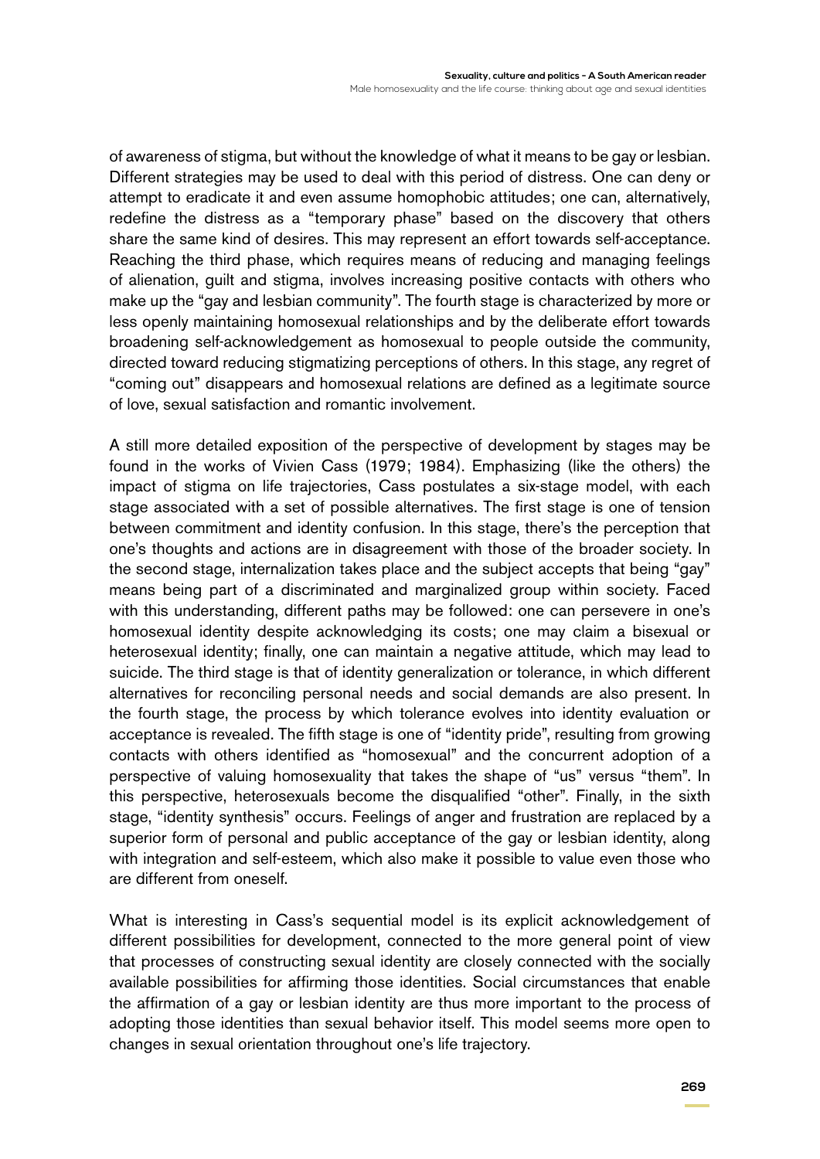of awareness of stigma, but without the knowledge of what it means to be gay or lesbian. Different strategies may be used to deal with this period of distress. One can deny or attempt to eradicate it and even assume homophobic attitudes; one can, alternatively, redefine the distress as a "temporary phase" based on the discovery that others share the same kind of desires. This may represent an effort towards self-acceptance. Reaching the third phase, which requires means of reducing and managing feelings of alienation, guilt and stigma, involves increasing positive contacts with others who make up the "gay and lesbian community". The fourth stage is characterized by more or less openly maintaining homosexual relationships and by the deliberate effort towards broadening self-acknowledgement as homosexual to people outside the community, directed toward reducing stigmatizing perceptions of others. In this stage, any regret of "coming out" disappears and homosexual relations are defined as a legitimate source of love, sexual satisfaction and romantic involvement.

A still more detailed exposition of the perspective of development by stages may be found in the works of Vivien Cass (1979; 1984). Emphasizing (like the others) the impact of stigma on life trajectories, Cass postulates a six-stage model, with each stage associated with a set of possible alternatives. The first stage is one of tension between commitment and identity confusion. In this stage, there's the perception that one's thoughts and actions are in disagreement with those of the broader society. In the second stage, internalization takes place and the subject accepts that being "gay" means being part of a discriminated and marginalized group within society. Faced with this understanding, different paths may be followed: one can persevere in one's homosexual identity despite acknowledging its costs; one may claim a bisexual or heterosexual identity; finally, one can maintain a negative attitude, which may lead to suicide. The third stage is that of identity generalization or tolerance, in which different alternatives for reconciling personal needs and social demands are also present. In the fourth stage, the process by which tolerance evolves into identity evaluation or acceptance is revealed. The fifth stage is one of "identity pride", resulting from growing contacts with others identified as "homosexual" and the concurrent adoption of a perspective of valuing homosexuality that takes the shape of "us" versus "them". In this perspective, heterosexuals become the disqualified "other". Finally, in the sixth stage, "identity synthesis" occurs. Feelings of anger and frustration are replaced by a superior form of personal and public acceptance of the gay or lesbian identity, along with integration and self-esteem, which also make it possible to value even those who are different from oneself.

What is interesting in Cass's sequential model is its explicit acknowledgement of different possibilities for development, connected to the more general point of view that processes of constructing sexual identity are closely connected with the socially available possibilities for affirming those identities. Social circumstances that enable the affirmation of a gay or lesbian identity are thus more important to the process of adopting those identities than sexual behavior itself. This model seems more open to changes in sexual orientation throughout one's life trajectory.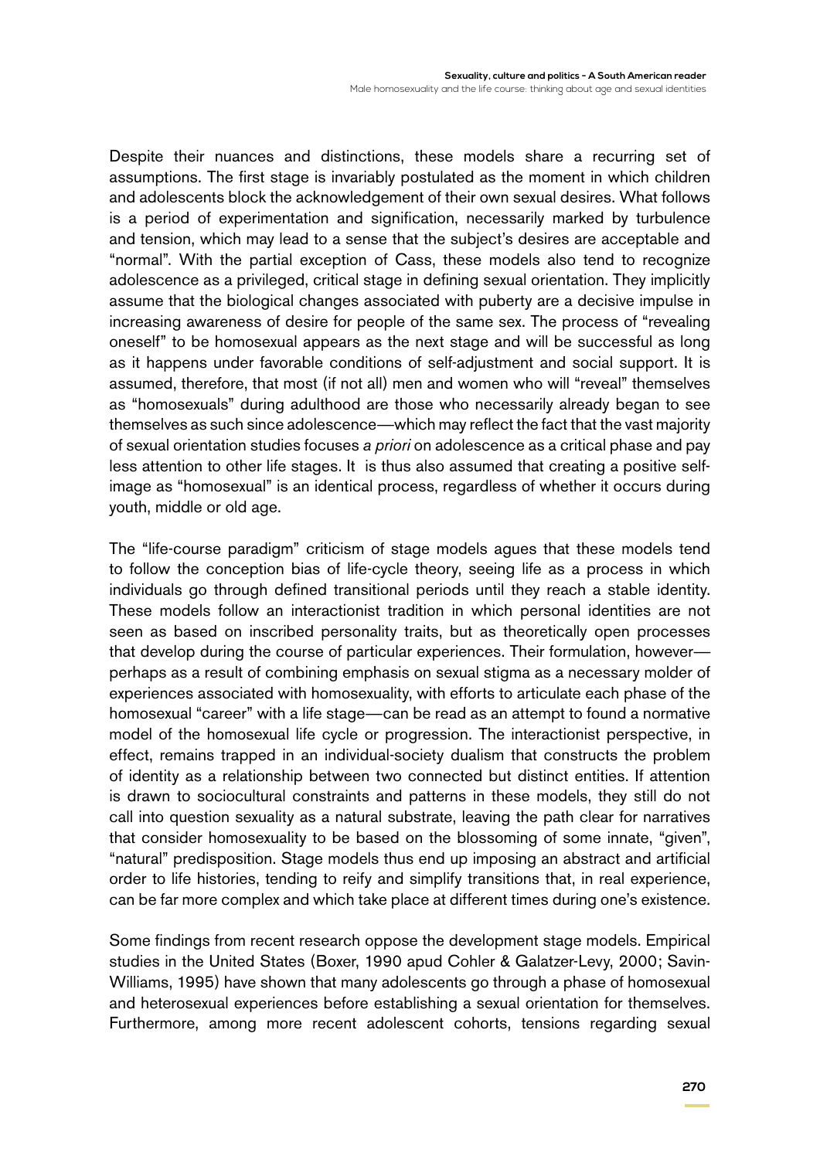Despite their nuances and distinctions, these models share a recurring set of assumptions. The first stage is invariably postulated as the moment in which children and adolescents block the acknowledgement of their own sexual desires. What follows is a period of experimentation and signification, necessarily marked by turbulence and tension, which may lead to a sense that the subject's desires are acceptable and "normal". With the partial exception of Cass, these models also tend to recognize adolescence as a privileged, critical stage in defining sexual orientation. They implicitly assume that the biological changes associated with puberty are a decisive impulse in increasing awareness of desire for people of the same sex. The process of "revealing oneself" to be homosexual appears as the next stage and will be successful as long as it happens under favorable conditions of self-adjustment and social support. It is assumed, therefore, that most (if not all) men and women who will "reveal" themselves as "homosexuals" during adulthood are those who necessarily already began to see themselves as such since adolescence—which may reflect the fact that the vast majority of sexual orientation studies focuses *a priori* on adolescence as a critical phase and pay less attention to other life stages. It is thus also assumed that creating a positive selfimage as "homosexual" is an identical process, regardless of whether it occurs during youth, middle or old age.

The "life-course paradigm" criticism of stage models agues that these models tend to follow the conception bias of life-cycle theory, seeing life as a process in which individuals go through defined transitional periods until they reach a stable identity. These models follow an interactionist tradition in which personal identities are not seen as based on inscribed personality traits, but as theoretically open processes that develop during the course of particular experiences. Their formulation, however perhaps as a result of combining emphasis on sexual stigma as a necessary molder of experiences associated with homosexuality, with efforts to articulate each phase of the homosexual "career" with a life stage—can be read as an attempt to found a normative model of the homosexual life cycle or progression. The interactionist perspective, in effect, remains trapped in an individual-society dualism that constructs the problem of identity as a relationship between two connected but distinct entities. If attention is drawn to sociocultural constraints and patterns in these models, they still do not call into question sexuality as a natural substrate, leaving the path clear for narratives that consider homosexuality to be based on the blossoming of some innate, "given", "natural" predisposition. Stage models thus end up imposing an abstract and artificial order to life histories, tending to reify and simplify transitions that, in real experience, can be far more complex and which take place at different times during one's existence.

Some findings from recent research oppose the development stage models. Empirical studies in the United States (Boxer, 1990 apud Cohler & Galatzer-Levy, 2000; Savin-Williams, 1995) have shown that many adolescents go through a phase of homosexual and heterosexual experiences before establishing a sexual orientation for themselves. Furthermore, among more recent adolescent cohorts, tensions regarding sexual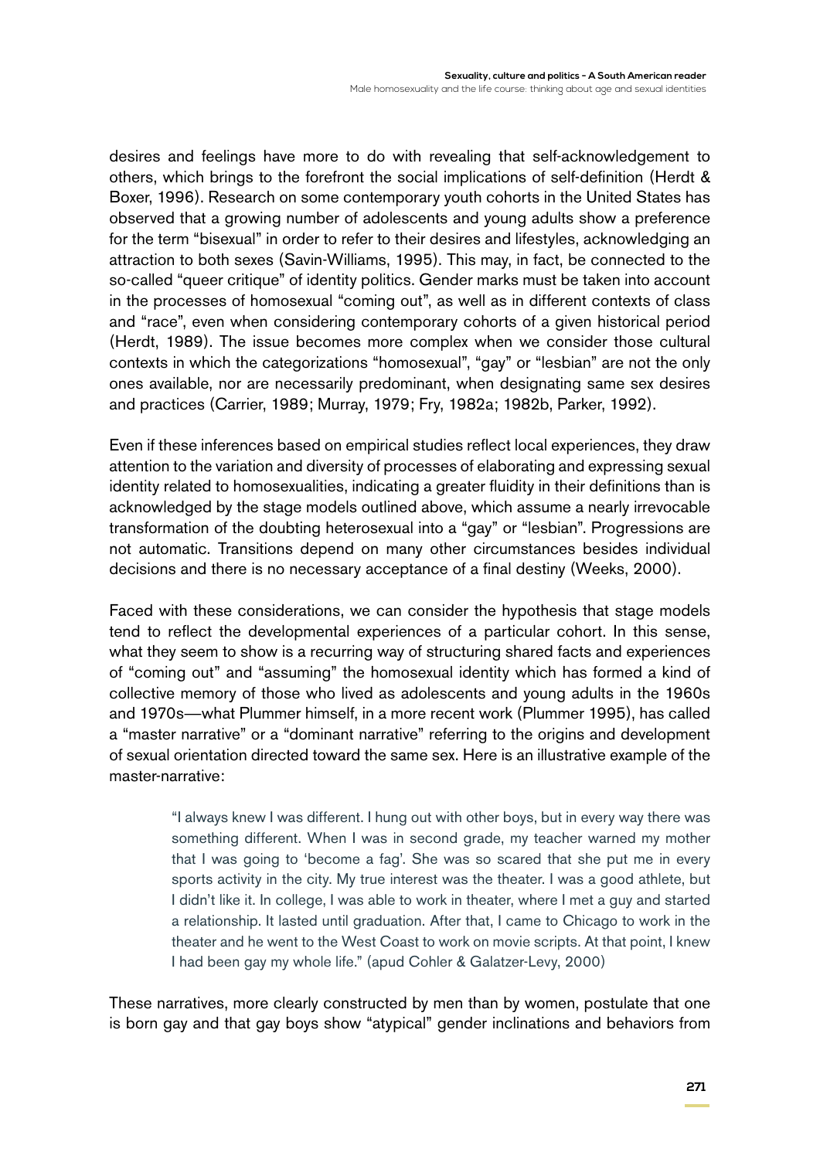desires and feelings have more to do with revealing that self-acknowledgement to others, which brings to the forefront the social implications of self-definition (Herdt & Boxer, 1996). Research on some contemporary youth cohorts in the United States has observed that a growing number of adolescents and young adults show a preference for the term "bisexual" in order to refer to their desires and lifestyles, acknowledging an attraction to both sexes (Savin-Williams, 1995). This may, in fact, be connected to the so-called "queer critique" of identity politics. Gender marks must be taken into account in the processes of homosexual "coming out", as well as in different contexts of class and "race", even when considering contemporary cohorts of a given historical period (Herdt, 1989). The issue becomes more complex when we consider those cultural contexts in which the categorizations "homosexual", "gay" or "lesbian" are not the only ones available, nor are necessarily predominant, when designating same sex desires and practices (Carrier, 1989; Murray, 1979; Fry, 1982a; 1982b, Parker, 1992).

Even if these inferences based on empirical studies reflect local experiences, they draw attention to the variation and diversity of processes of elaborating and expressing sexual identity related to homosexualities, indicating a greater fluidity in their definitions than is acknowledged by the stage models outlined above, which assume a nearly irrevocable transformation of the doubting heterosexual into a "gay" or "lesbian". Progressions are not automatic. Transitions depend on many other circumstances besides individual decisions and there is no necessary acceptance of a final destiny (Weeks, 2000).

Faced with these considerations, we can consider the hypothesis that stage models tend to reflect the developmental experiences of a particular cohort. In this sense, what they seem to show is a recurring way of structuring shared facts and experiences of "coming out" and "assuming" the homosexual identity which has formed a kind of collective memory of those who lived as adolescents and young adults in the 1960s and 1970s—what Plummer himself, in a more recent work (Plummer 1995), has called a "master narrative" or a "dominant narrative" referring to the origins and development of sexual orientation directed toward the same sex. Here is an illustrative example of the master-narrative:

> "I always knew I was different. I hung out with other boys, but in every way there was something different. When I was in second grade, my teacher warned my mother that I was going to 'become a fag'. She was so scared that she put me in every sports activity in the city. My true interest was the theater. I was a good athlete, but I didn't like it. In college, I was able to work in theater, where I met a guy and started a relationship. It lasted until graduation. After that, I came to Chicago to work in the theater and he went to the West Coast to work on movie scripts. At that point, I knew I had been gay my whole life." (apud Cohler & Galatzer-Levy, 2000)

These narratives, more clearly constructed by men than by women, postulate that one is born gay and that gay boys show "atypical" gender inclinations and behaviors from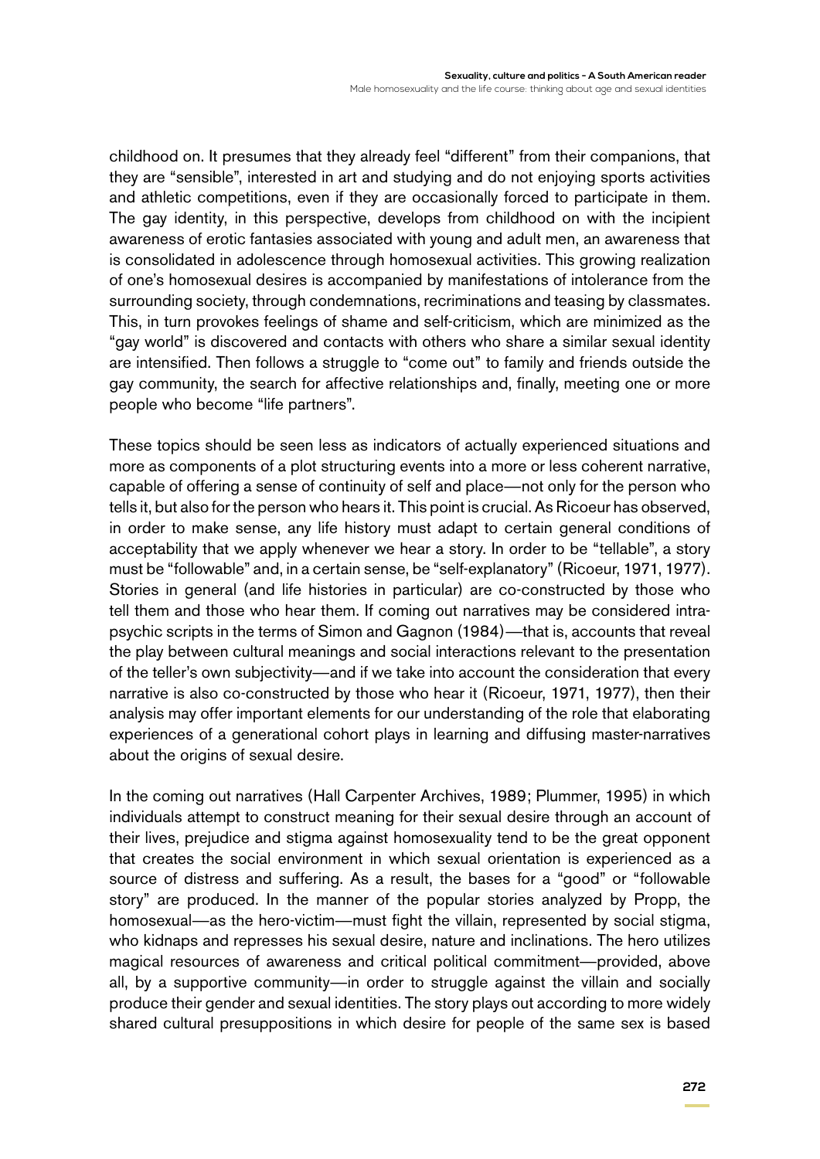childhood on. It presumes that they already feel "different" from their companions, that they are "sensible", interested in art and studying and do not enjoying sports activities and athletic competitions, even if they are occasionally forced to participate in them. The gay identity, in this perspective, develops from childhood on with the incipient awareness of erotic fantasies associated with young and adult men, an awareness that is consolidated in adolescence through homosexual activities. This growing realization of one's homosexual desires is accompanied by manifestations of intolerance from the surrounding society, through condemnations, recriminations and teasing by classmates. This, in turn provokes feelings of shame and self-criticism, which are minimized as the "gay world" is discovered and contacts with others who share a similar sexual identity are intensified. Then follows a struggle to "come out" to family and friends outside the gay community, the search for affective relationships and, finally, meeting one or more people who become "life partners".

These topics should be seen less as indicators of actually experienced situations and more as components of a plot structuring events into a more or less coherent narrative, capable of offering a sense of continuity of self and place—not only for the person who tells it, but also for the person who hears it. This point is crucial. As Ricoeur has observed, in order to make sense, any life history must adapt to certain general conditions of acceptability that we apply whenever we hear a story. In order to be "tellable", a story must be "followable" and, in a certain sense, be "self-explanatory" (Ricoeur, 1971, 1977). Stories in general (and life histories in particular) are co-constructed by those who tell them and those who hear them. If coming out narratives may be considered intrapsychic scripts in the terms of Simon and Gagnon (1984)—that is, accounts that reveal the play between cultural meanings and social interactions relevant to the presentation of the teller's own subjectivity—and if we take into account the consideration that every narrative is also co-constructed by those who hear it (Ricoeur, 1971, 1977), then their analysis may offer important elements for our understanding of the role that elaborating experiences of a generational cohort plays in learning and diffusing master-narratives about the origins of sexual desire.

In the coming out narratives (Hall Carpenter Archives, 1989; Plummer, 1995) in which individuals attempt to construct meaning for their sexual desire through an account of their lives, prejudice and stigma against homosexuality tend to be the great opponent that creates the social environment in which sexual orientation is experienced as a source of distress and suffering. As a result, the bases for a "good" or "followable story" are produced. In the manner of the popular stories analyzed by Propp, the homosexual—as the hero-victim—must fight the villain, represented by social stigma, who kidnaps and represses his sexual desire, nature and inclinations. The hero utilizes magical resources of awareness and critical political commitment—provided, above all, by a supportive community—in order to struggle against the villain and socially produce their gender and sexual identities. The story plays out according to more widely shared cultural presuppositions in which desire for people of the same sex is based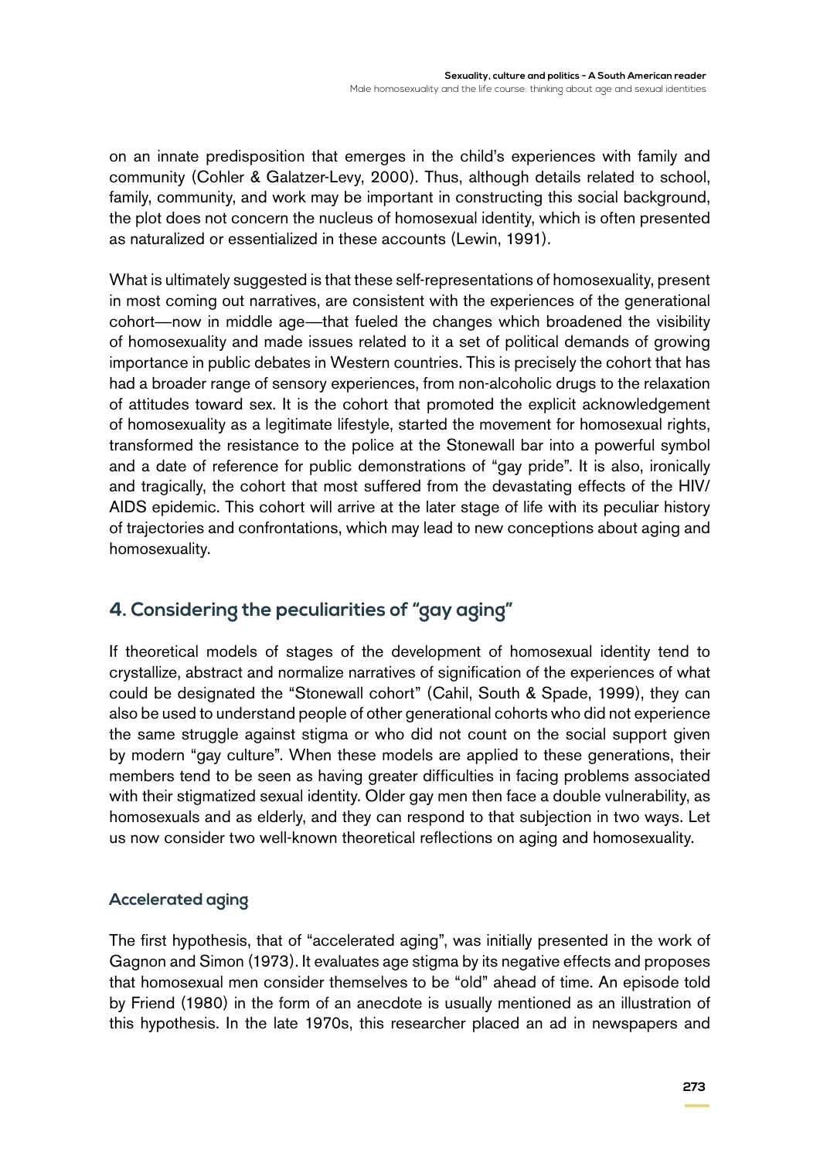on an innate predisposition that emerges in the child's experiences with family and community (Cohler & Galatzer-Levy, 2000). Thus, although details related to school, family, community, and work may be important in constructing this social background, the plot does not concern the nucleus of homosexual identity, which is often presented as naturalized or essentialized in these accounts (Lewin, 1991).

What is ultimately suggested is that these self-representations of homosexuality, present in most coming out narratives, are consistent with the experiences of the generational cohort—now in middle age—that fueled the changes which broadened the visibility of homosexuality and made issues related to it a set of political demands of growing importance in public debates in Western countries. This is precisely the cohort that has had a broader range of sensory experiences, from non-alcoholic drugs to the relaxation of attitudes toward sex. It is the cohort that promoted the explicit acknowledgement of homosexuality as a legitimate lifestyle, started the movement for homosexual rights, transformed the resistance to the police at the Stonewall bar into a powerful symbol and a date of reference for public demonstrations of "gay pride". It is also, ironically and tragically, the cohort that most suffered from the devastating effects of the HIV/ AIDS epidemic. This cohort will arrive at the later stage of life with its peculiar history of trajectories and confrontations, which may lead to new conceptions about aging and homosexuality.

# **4. Considering the peculiarities of "gay aging"**

If theoretical models of stages of the development of homosexual identity tend to crystallize, abstract and normalize narratives of signification of the experiences of what could be designated the "Stonewall cohort" (Cahil, South & Spade, 1999), they can also be used to understand people of other generational cohorts who did not experience the same struggle against stigma or who did not count on the social support given by modern "gay culture". When these models are applied to these generations, their members tend to be seen as having greater difficulties in facing problems associated with their stigmatized sexual identity. Older gay men then face a double vulnerability, as homosexuals and as elderly, and they can respond to that subjection in two ways. Let us now consider two well-known theoretical reflections on aging and homosexuality.

#### **Accelerated aging**

The first hypothesis, that of "accelerated aging", was initially presented in the work of Gagnon and Simon (1973). It evaluates age stigma by its negative effects and proposes that homosexual men consider themselves to be "old" ahead of time. An episode told by Friend (1980) in the form of an anecdote is usually mentioned as an illustration of this hypothesis. In the late 1970s, this researcher placed an ad in newspapers and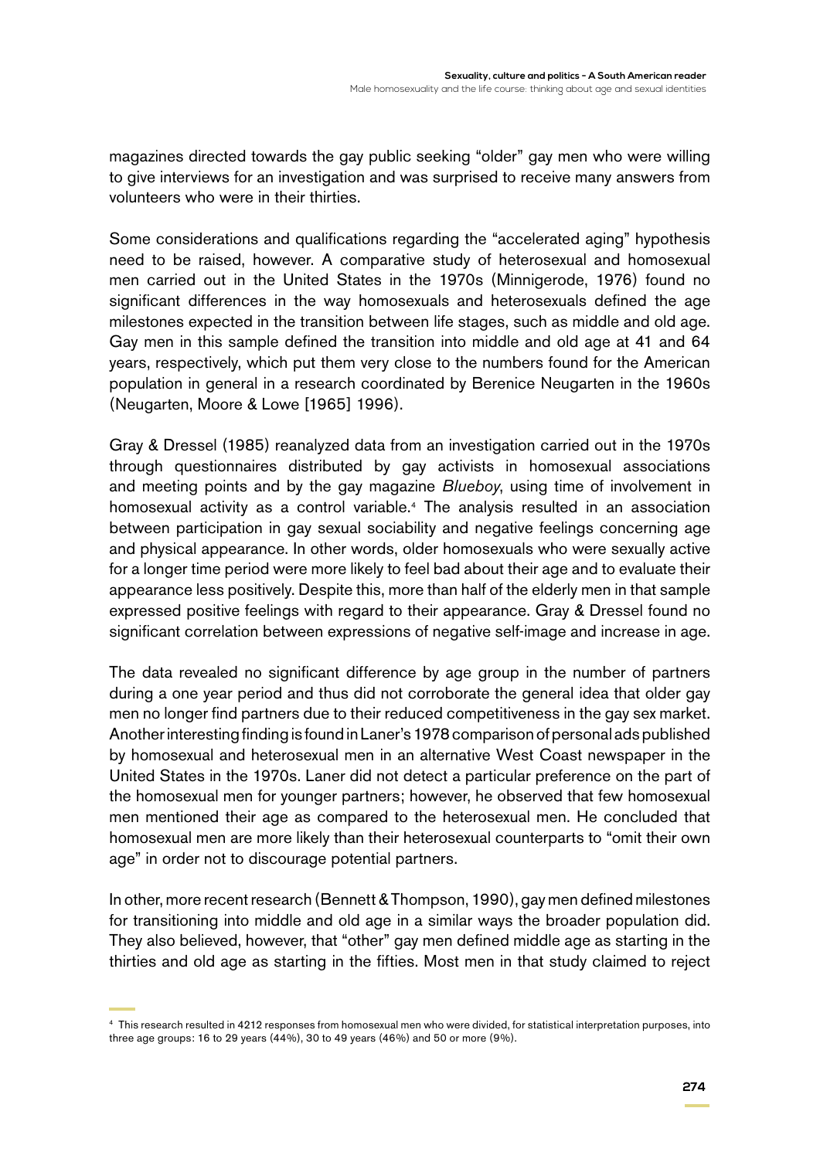magazines directed towards the gay public seeking "older" gay men who were willing to give interviews for an investigation and was surprised to receive many answers from volunteers who were in their thirties.

Some considerations and qualifications regarding the "accelerated aging" hypothesis need to be raised, however. A comparative study of heterosexual and homosexual men carried out in the United States in the 1970s (Minnigerode, 1976) found no significant differences in the way homosexuals and heterosexuals defined the age milestones expected in the transition between life stages, such as middle and old age. Gay men in this sample defined the transition into middle and old age at 41 and 64 years, respectively, which put them very close to the numbers found for the American population in general in a research coordinated by Berenice Neugarten in the 1960s (Neugarten, Moore & Lowe [1965] 1996).

Gray & Dressel (1985) reanalyzed data from an investigation carried out in the 1970s through questionnaires distributed by gay activists in homosexual associations and meeting points and by the gay magazine *Blueboy*, using time of involvement in homosexual activity as a control variable.<sup>4</sup> The analysis resulted in an association between participation in gay sexual sociability and negative feelings concerning age and physical appearance. In other words, older homosexuals who were sexually active for a longer time period were more likely to feel bad about their age and to evaluate their appearance less positively. Despite this, more than half of the elderly men in that sample expressed positive feelings with regard to their appearance. Gray & Dressel found no significant correlation between expressions of negative self-image and increase in age.

The data revealed no significant difference by age group in the number of partners during a one year period and thus did not corroborate the general idea that older gay men no longer find partners due to their reduced competitiveness in the gay sex market. Another interesting finding is found in Laner's 1978 comparison of personal ads published by homosexual and heterosexual men in an alternative West Coast newspaper in the United States in the 1970s. Laner did not detect a particular preference on the part of the homosexual men for younger partners; however, he observed that few homosexual men mentioned their age as compared to the heterosexual men. He concluded that homosexual men are more likely than their heterosexual counterparts to "omit their own age" in order not to discourage potential partners.

In other, more recent research (Bennett & Thompson, 1990), gay men defined milestones for transitioning into middle and old age in a similar ways the broader population did. They also believed, however, that "other" gay men defined middle age as starting in the thirties and old age as starting in the fifties. Most men in that study claimed to reject

<sup>4</sup> This research resulted in 4212 responses from homosexual men who were divided, for statistical interpretation purposes, into three age groups: 16 to 29 years (44%), 30 to 49 years (46%) and 50 or more (9%).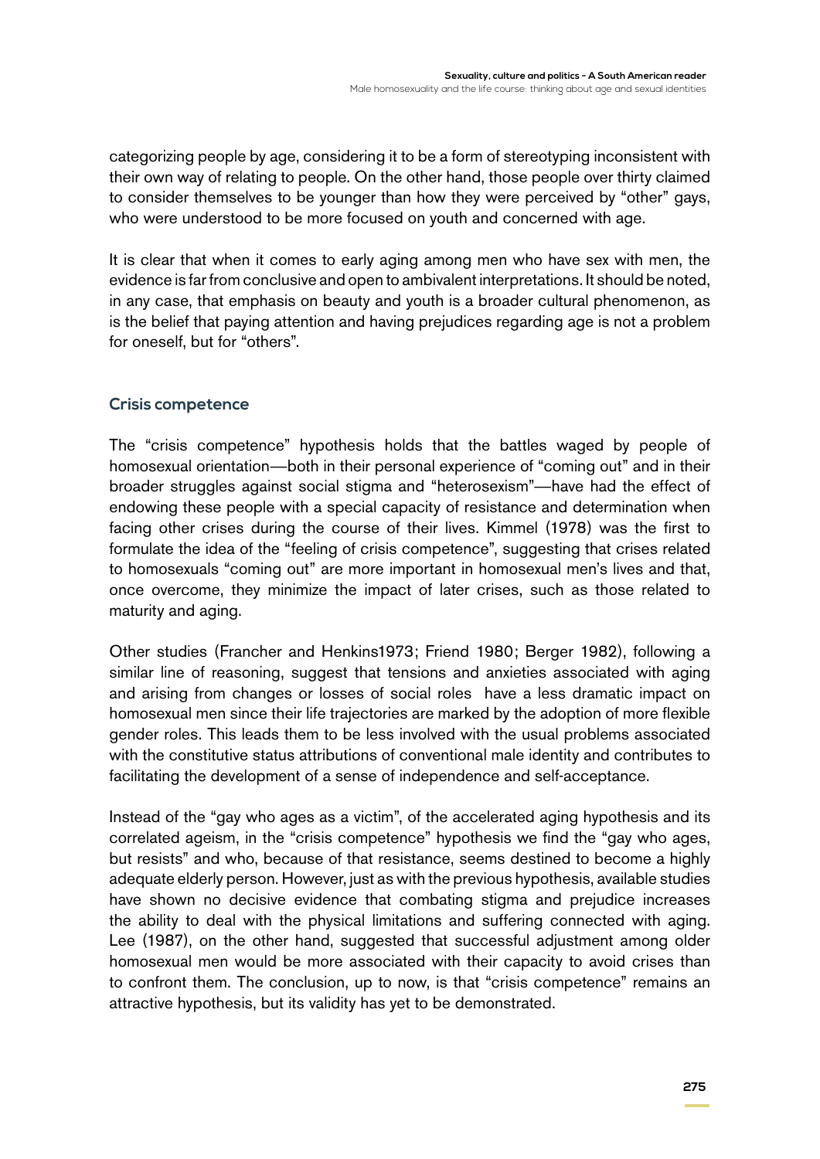categorizing people by age, considering it to be a form of stereotyping inconsistent with their own way of relating to people. On the other hand, those people over thirty claimed to consider themselves to be younger than how they were perceived by "other" gays, who were understood to be more focused on youth and concerned with age.

It is clear that when it comes to early aging among men who have sex with men, the evidence is far from conclusive and open to ambivalent interpretations. It should be noted, in any case, that emphasis on beauty and youth is a broader cultural phenomenon, as is the belief that paying attention and having prejudices regarding age is not a problem for oneself, but for "others".

#### **Crisis competence**

The "crisis competence" hypothesis holds that the battles waged by people of homosexual orientation—both in their personal experience of "coming out" and in their broader struggles against social stigma and "heterosexism"—have had the effect of endowing these people with a special capacity of resistance and determination when facing other crises during the course of their lives. Kimmel (1978) was the first to formulate the idea of the "feeling of crisis competence", suggesting that crises related to homosexuals "coming out" are more important in homosexual men's lives and that, once overcome, they minimize the impact of later crises, such as those related to maturity and aging.

Other studies (Francher and Henkins1973; Friend 1980; Berger 1982), following a similar line of reasoning, suggest that tensions and anxieties associated with aging and arising from changes or losses of social roles have a less dramatic impact on homosexual men since their life trajectories are marked by the adoption of more flexible gender roles. This leads them to be less involved with the usual problems associated with the constitutive status attributions of conventional male identity and contributes to facilitating the development of a sense of independence and self-acceptance.

Instead of the "gay who ages as a victim", of the accelerated aging hypothesis and its correlated ageism, in the "crisis competence" hypothesis we find the "gay who ages, but resists" and who, because of that resistance, seems destined to become a highly adequate elderly person. However, just as with the previous hypothesis, available studies have shown no decisive evidence that combating stigma and prejudice increases the ability to deal with the physical limitations and suffering connected with aging. Lee (1987), on the other hand, suggested that successful adjustment among older homosexual men would be more associated with their capacity to avoid crises than to confront them. The conclusion, up to now, is that "crisis competence" remains an attractive hypothesis, but its validity has yet to be demonstrated.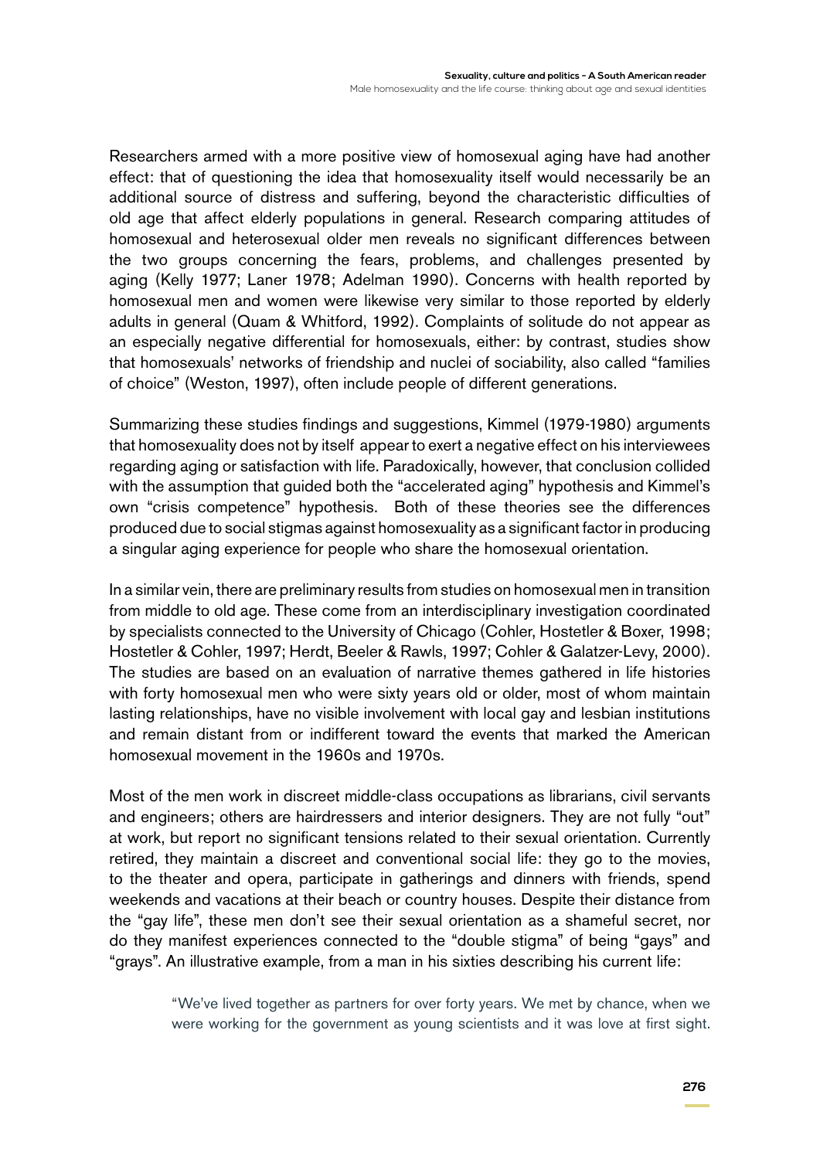Researchers armed with a more positive view of homosexual aging have had another effect: that of questioning the idea that homosexuality itself would necessarily be an additional source of distress and suffering, beyond the characteristic difficulties of old age that affect elderly populations in general. Research comparing attitudes of homosexual and heterosexual older men reveals no significant differences between the two groups concerning the fears, problems, and challenges presented by aging (Kelly 1977; Laner 1978; Adelman 1990). Concerns with health reported by homosexual men and women were likewise very similar to those reported by elderly adults in general (Quam & Whitford, 1992). Complaints of solitude do not appear as an especially negative differential for homosexuals, either: by contrast, studies show that homosexuals' networks of friendship and nuclei of sociability, also called "families of choice" (Weston, 1997), often include people of different generations.

Summarizing these studies findings and suggestions, Kimmel (1979-1980) arguments that homosexuality does not by itself appear to exert a negative effect on his interviewees regarding aging or satisfaction with life. Paradoxically, however, that conclusion collided with the assumption that guided both the "accelerated aging" hypothesis and Kimmel's own "crisis competence" hypothesis. Both of these theories see the differences produced due to social stigmas against homosexuality as a significant factor in producing a singular aging experience for people who share the homosexual orientation.

In a similar vein, there are preliminary results from studies on homosexual men in transition from middle to old age. These come from an interdisciplinary investigation coordinated by specialists connected to the University of Chicago (Cohler, Hostetler & Boxer, 1998; Hostetler & Cohler, 1997; Herdt, Beeler & Rawls, 1997; Cohler & Galatzer-Levy, 2000). The studies are based on an evaluation of narrative themes gathered in life histories with forty homosexual men who were sixty years old or older, most of whom maintain lasting relationships, have no visible involvement with local gay and lesbian institutions and remain distant from or indifferent toward the events that marked the American homosexual movement in the 1960s and 1970s.

Most of the men work in discreet middle-class occupations as librarians, civil servants and engineers; others are hairdressers and interior designers. They are not fully "out" at work, but report no significant tensions related to their sexual orientation. Currently retired, they maintain a discreet and conventional social life: they go to the movies, to the theater and opera, participate in gatherings and dinners with friends, spend weekends and vacations at their beach or country houses. Despite their distance from the "gay life", these men don't see their sexual orientation as a shameful secret, nor do they manifest experiences connected to the "double stigma" of being "gays" and "grays". An illustrative example, from a man in his sixties describing his current life:

> "We've lived together as partners for over forty years. We met by chance, when we were working for the government as young scientists and it was love at first sight.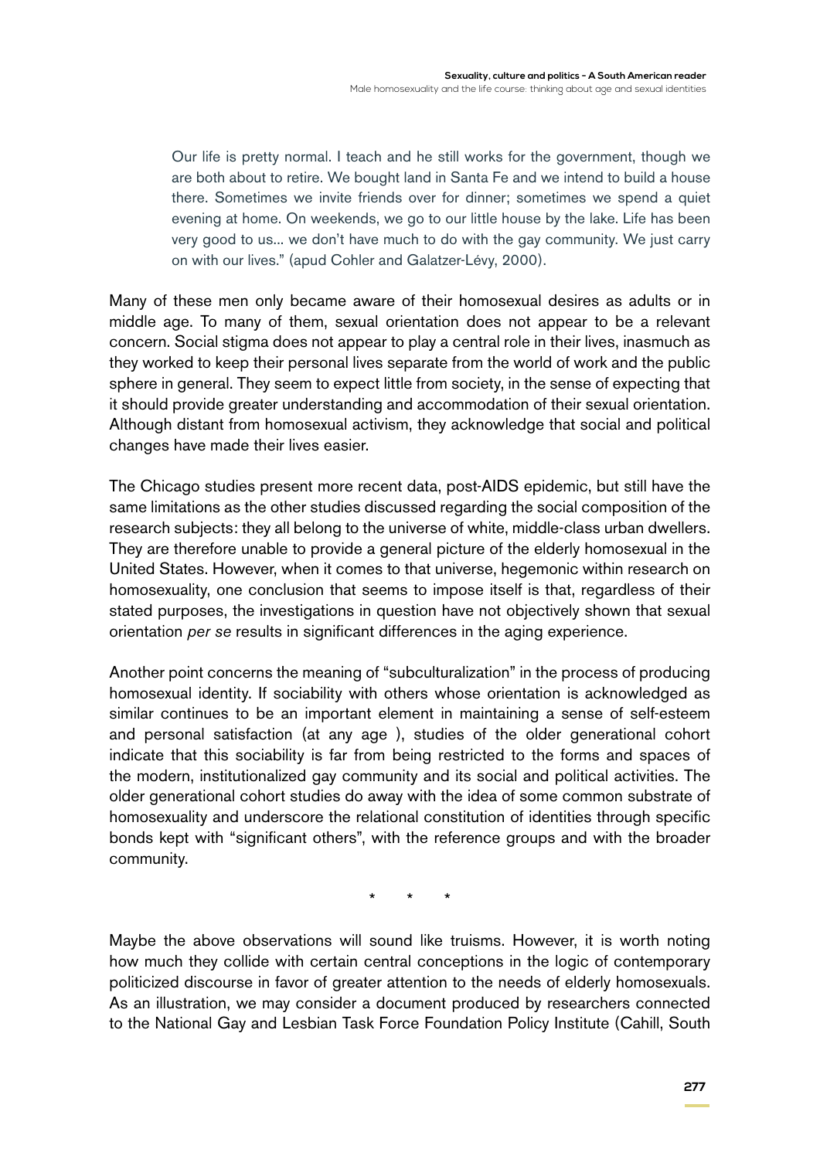Our life is pretty normal. I teach and he still works for the government, though we are both about to retire. We bought land in Santa Fe and we intend to build a house there. Sometimes we invite friends over for dinner; sometimes we spend a quiet evening at home. On weekends, we go to our little house by the lake. Life has been very good to us... we don't have much to do with the gay community. We just carry on with our lives." (apud Cohler and Galatzer-Lévy, 2000).

Many of these men only became aware of their homosexual desires as adults or in middle age. To many of them, sexual orientation does not appear to be a relevant concern. Social stigma does not appear to play a central role in their lives, inasmuch as they worked to keep their personal lives separate from the world of work and the public sphere in general. They seem to expect little from society, in the sense of expecting that it should provide greater understanding and accommodation of their sexual orientation. Although distant from homosexual activism, they acknowledge that social and political changes have made their lives easier.

The Chicago studies present more recent data, post-AIDS epidemic, but still have the same limitations as the other studies discussed regarding the social composition of the research subjects: they all belong to the universe of white, middle-class urban dwellers. They are therefore unable to provide a general picture of the elderly homosexual in the United States. However, when it comes to that universe, hegemonic within research on homosexuality, one conclusion that seems to impose itself is that, regardless of their stated purposes, the investigations in question have not objectively shown that sexual orientation *per se* results in significant differences in the aging experience.

Another point concerns the meaning of "subculturalization" in the process of producing homosexual identity. If sociability with others whose orientation is acknowledged as similar continues to be an important element in maintaining a sense of self-esteem and personal satisfaction (at any age ), studies of the older generational cohort indicate that this sociability is far from being restricted to the forms and spaces of the modern, institutionalized gay community and its social and political activities. The older generational cohort studies do away with the idea of some common substrate of homosexuality and underscore the relational constitution of identities through specific bonds kept with "significant others", with the reference groups and with the broader community.

\* \* \*

Maybe the above observations will sound like truisms. However, it is worth noting how much they collide with certain central conceptions in the logic of contemporary politicized discourse in favor of greater attention to the needs of elderly homosexuals. As an illustration, we may consider a document produced by researchers connected to the National Gay and Lesbian Task Force Foundation Policy Institute (Cahill, South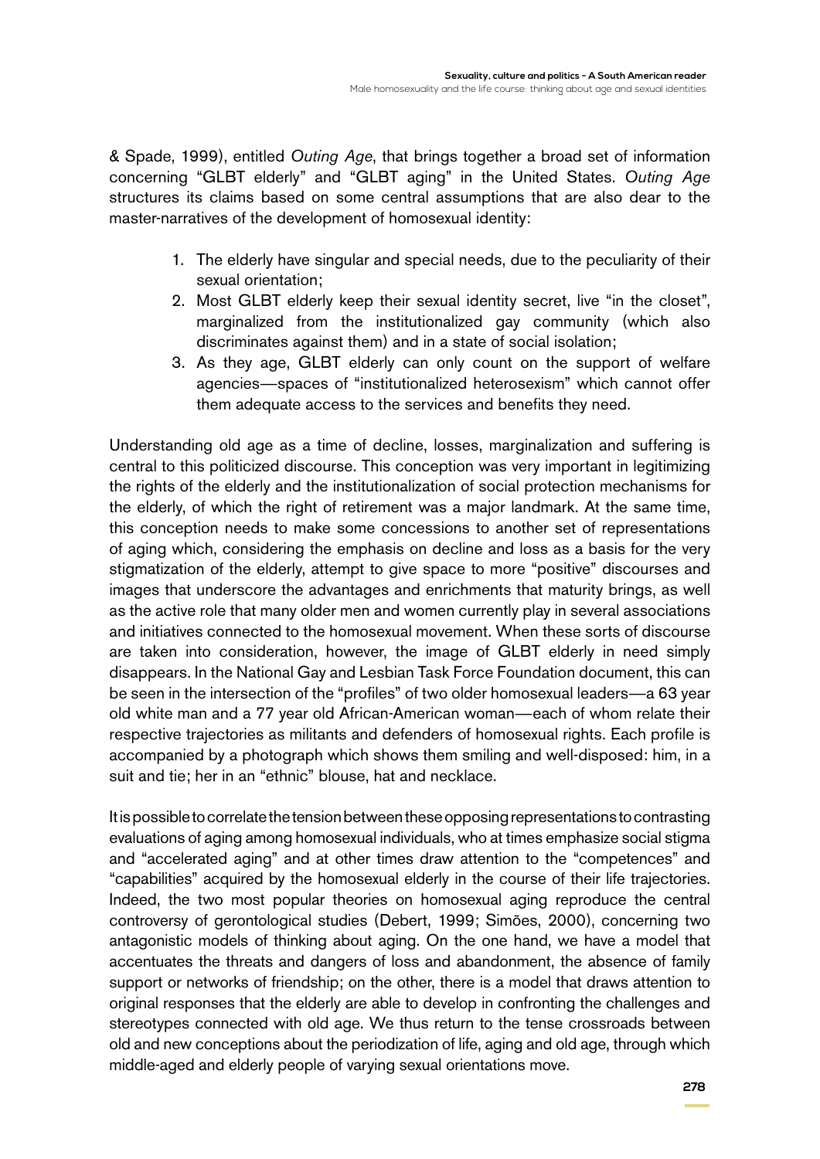& Spade, 1999), entitled *Outing Age*, that brings together a broad set of information concerning "GLBT elderly" and "GLBT aging" in the United States. *Outing Age* structures its claims based on some central assumptions that are also dear to the master-narratives of the development of homosexual identity:

- 1. The elderly have singular and special needs, due to the peculiarity of their sexual orientation;
- 2. Most GLBT elderly keep their sexual identity secret, live "in the closet", marginalized from the institutionalized gay community (which also discriminates against them) and in a state of social isolation;
- 3. As they age, GLBT elderly can only count on the support of welfare agencies—spaces of "institutionalized heterosexism" which cannot offer them adequate access to the services and benefits they need.

Understanding old age as a time of decline, losses, marginalization and suffering is central to this politicized discourse. This conception was very important in legitimizing the rights of the elderly and the institutionalization of social protection mechanisms for the elderly, of which the right of retirement was a major landmark. At the same time, this conception needs to make some concessions to another set of representations of aging which, considering the emphasis on decline and loss as a basis for the very stigmatization of the elderly, attempt to give space to more "positive" discourses and images that underscore the advantages and enrichments that maturity brings, as well as the active role that many older men and women currently play in several associations and initiatives connected to the homosexual movement. When these sorts of discourse are taken into consideration, however, the image of GLBT elderly in need simply disappears. In the National Gay and Lesbian Task Force Foundation document, this can be seen in the intersection of the "profiles" of two older homosexual leaders—a 63 year old white man and a 77 year old African-American woman—each of whom relate their respective trajectories as militants and defenders of homosexual rights. Each profile is accompanied by a photograph which shows them smiling and well-disposed: him, in a suit and tie; her in an "ethnic" blouse, hat and necklace.

It is possible to correlate the tension between these opposing representations to contrasting evaluations of aging among homosexual individuals, who at times emphasize social stigma and "accelerated aging" and at other times draw attention to the "competences" and "capabilities" acquired by the homosexual elderly in the course of their life trajectories. Indeed, the two most popular theories on homosexual aging reproduce the central controversy of gerontological studies (Debert, 1999; Simões, 2000), concerning two antagonistic models of thinking about aging. On the one hand, we have a model that accentuates the threats and dangers of loss and abandonment, the absence of family support or networks of friendship; on the other, there is a model that draws attention to original responses that the elderly are able to develop in confronting the challenges and stereotypes connected with old age. We thus return to the tense crossroads between old and new conceptions about the periodization of life, aging and old age, through which middle-aged and elderly people of varying sexual orientations move.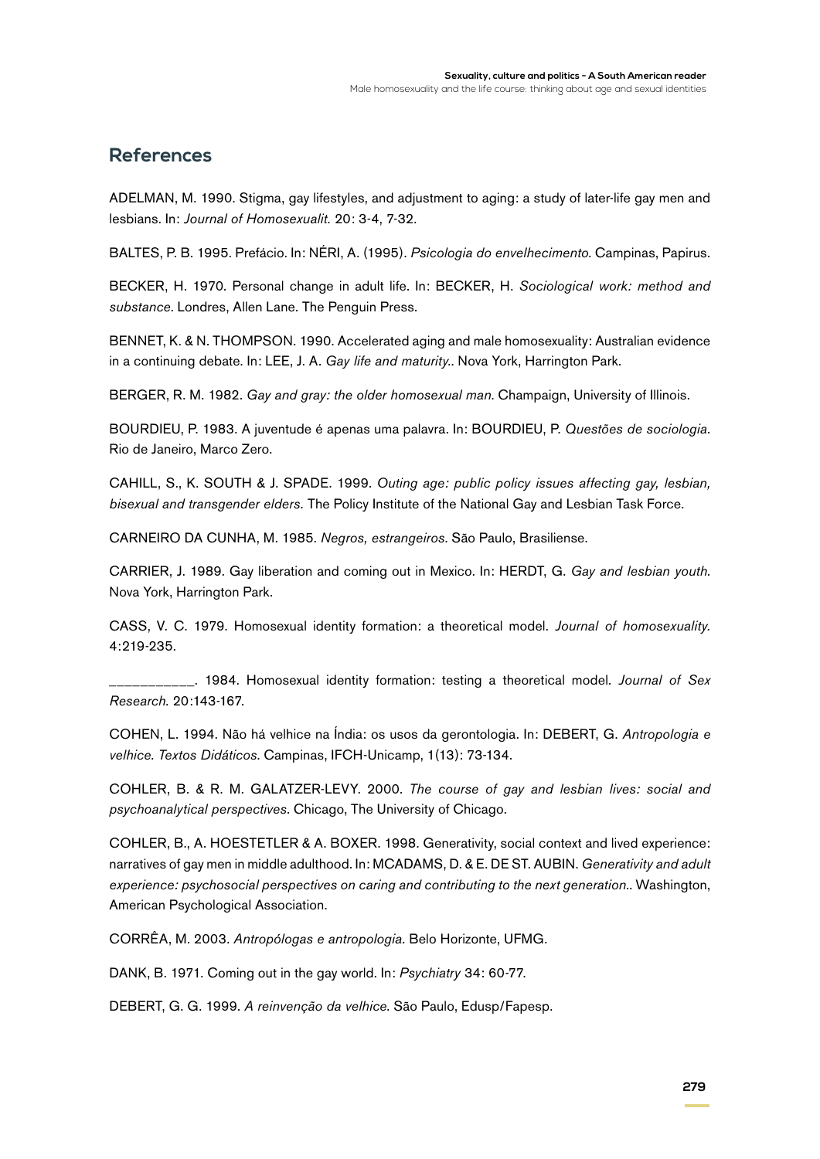#### **References**

ADELMAN, M. 1990. Stigma, gay lifestyles, and adjustment to aging: a study of later-life gay men and lesbians. In: *Journal of Homosexualit.* 20: 3-4, 7-32.

BALTES, P. B. 1995. Prefácio. In: NÉRI, A. (1995). *Psicologia do envelhecimento*. Campinas, Papirus.

BECKER, H. 1970. Personal change in adult life. In: BECKER, H. *Sociological work: method and substance*. Londres, Allen Lane. The Penguin Press.

BENNET, K. & N. THOMPSON. 1990. Accelerated aging and male homosexuality: Australian evidence in a continuing debate. In: LEE, J. A. *Gay life and maturity*.. Nova York, Harrington Park.

BERGER, R. M. 1982. *Gay and gray: the older homosexual man*. Champaign, University of Illinois.

BOURDIEU, P. 1983. A juventude é apenas uma palavra. In: BOURDIEU, P. *Questões de sociologia*. Rio de Janeiro, Marco Zero.

CAHILL, S., K. SOUTH & J. SPADE. 1999. *Outing age: public policy issues affecting gay, lesbian, bisexual and transgender elders.* The Policy Institute of the National Gay and Lesbian Task Force.

CARNEIRO DA CUNHA, M. 1985. *Negros, estrangeiros*. São Paulo, Brasiliense.

CARRIER, J. 1989. Gay liberation and coming out in Mexico. In: HERDT, G. *Gay and lesbian youth*. Nova York, Harrington Park.

CASS, V. C. 1979. Homosexual identity formation: a theoretical model. *Journal of homosexuality.* 4:219-235.

\_\_\_\_\_\_\_\_\_\_\_. 1984. Homosexual identity formation: testing a theoretical model. *Journal of Sex Research.* 20:143-167.

COHEN, L. 1994. Não há velhice na Índia: os usos da gerontologia. In: DEBERT, G. *Antropologia e velhice. Textos Didáticos*. Campinas, IFCH-Unicamp, 1(13): 73-134.

COHLER, B. & R. M. GALATZER-LEVY. 2000. *The course of gay and lesbian lives: social and psychoanalytical perspectives*. Chicago, The University of Chicago.

COHLER, B., A. HOESTETLER & A. BOXER. 1998. Generativity, social context and lived experience: narratives of gay men in middle adulthood. In: MCADAMS, D. & E. DE ST. AUBIN. *Generativity and adult experience: psychosocial perspectives on caring and contributing to the next generation*.. Washington, American Psychological Association.

CORRÊA, M. 2003. *Antropólogas e antropologia*. Belo Horizonte, UFMG.

DANK, B. 1971. Coming out in the gay world. In: *Psychiatry* 34: 60-77.

DEBERT, G. G. 1999. *A reinvenção da velhice*. São Paulo, Edusp/Fapesp.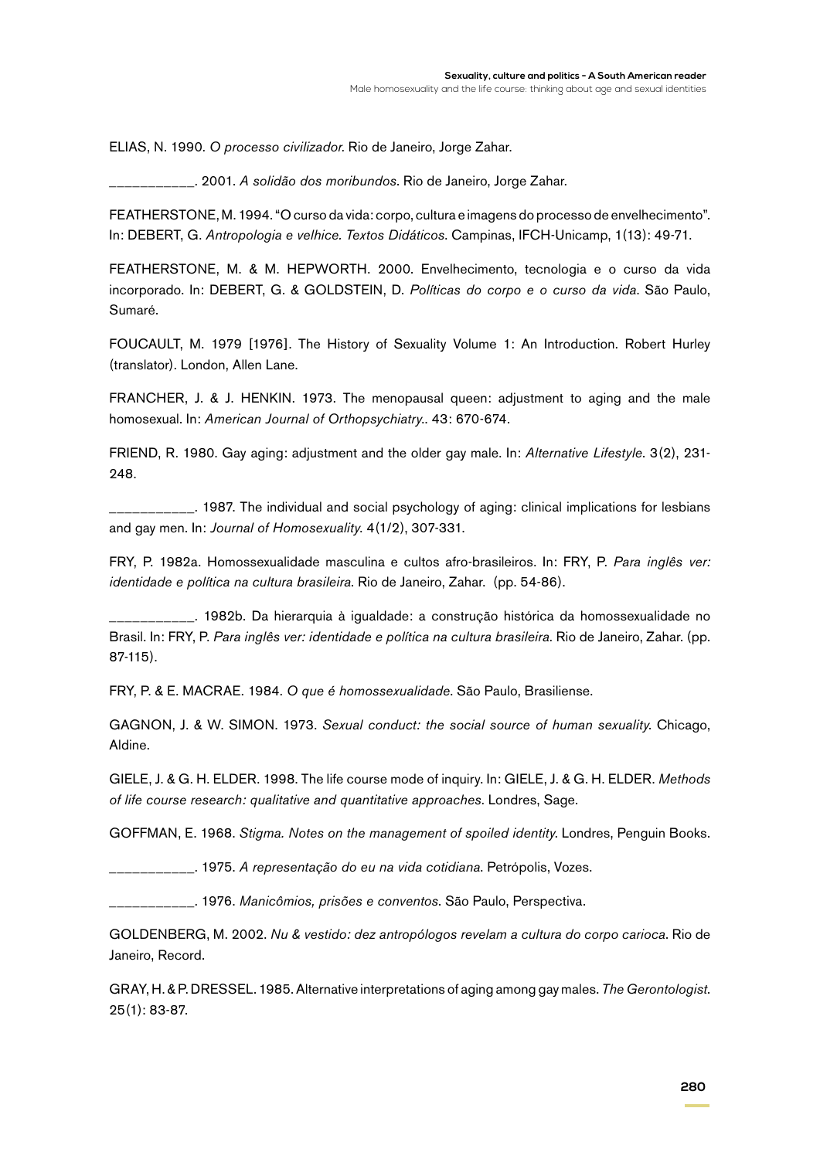ELIAS, N. 1990. *O processo civilizador*. Rio de Janeiro, Jorge Zahar.

\_\_\_\_\_\_\_\_\_\_\_. 2001. *A solidão dos moribundos*. Rio de Janeiro, Jorge Zahar.

FEATHERSTONE, M. 1994. "O curso da vida: corpo, cultura e imagens do processo de envelhecimento". In: DEBERT, G. *Antropologia e velhice. Textos Didáticos*. Campinas, IFCH-Unicamp, 1(13): 49-71.

FEATHERSTONE, M. & M. HEPWORTH. 2000. Envelhecimento, tecnologia e o curso da vida incorporado. In: DEBERT, G. & GOLDSTEIN, D. *Políticas do corpo e o curso da vida*. São Paulo, Sumaré.

FOUCAULT, M. 1979 [1976]. The History of Sexuality Volume 1: An Introduction. Robert Hurley (translator). London, Allen Lane.

FRANCHER, J. & J. HENKIN. 1973. The menopausal queen: adjustment to aging and the male homosexual. In: *American Journal of Orthopsychiatry*.. 43: 670-674.

FRIEND, R. 1980. Gay aging: adjustment and the older gay male. In: *Alternative Lifestyle*. 3(2), 231- 248.

\_\_\_\_\_\_\_\_\_\_\_. 1987. The individual and social psychology of aging: clinical implications for lesbians and gay men. In: *Journal of Homosexuality*. 4(1/2), 307-331.

FRY, P. 1982a. Homossexualidade masculina e cultos afro-brasileiros. In: FRY, P. *Para inglês ver: identidade e política na cultura brasileira*. Rio de Janeiro, Zahar. (pp. 54-86).

\_\_\_\_\_\_\_\_\_\_\_. 1982b. Da hierarquia à igualdade: a construção histórica da homossexualidade no Brasil. In: FRY, P. *Para inglês ver: identidade e política na cultura brasileira*. Rio de Janeiro, Zahar. (pp. 87-115).

FRY, P. & E. MACRAE. 1984. *O que é homossexualidade*. São Paulo, Brasiliense.

GAGNON, J. & W. SIMON. 1973. *Sexual conduct: the social source of human sexuality*. Chicago, Aldine.

GIELE, J. & G. H. ELDER. 1998. The life course mode of inquiry. In: GIELE, J. & G. H. ELDER. *Methods of life course research: qualitative and quantitative approaches*. Londres, Sage.

GOFFMAN, E. 1968. *Stigma. Notes on the management of spoiled identity*. Londres, Penguin Books.

\_\_\_\_\_\_\_\_\_\_\_. 1975. *A representação do eu na vida cotidiana*. Petrópolis, Vozes.

\_\_\_\_\_\_\_\_\_\_\_. 1976. *Manicômios, prisões e conventos*. São Paulo, Perspectiva.

GOLDENBERG, M. 2002. *Nu & vestido: dez antropólogos revelam a cultura do corpo carioca*. Rio de Janeiro, Record.

GRAY, H. & P. DRESSEL. 1985. Alternative interpretations of aging among gay males. *The Gerontologist*. 25(1): 83-87.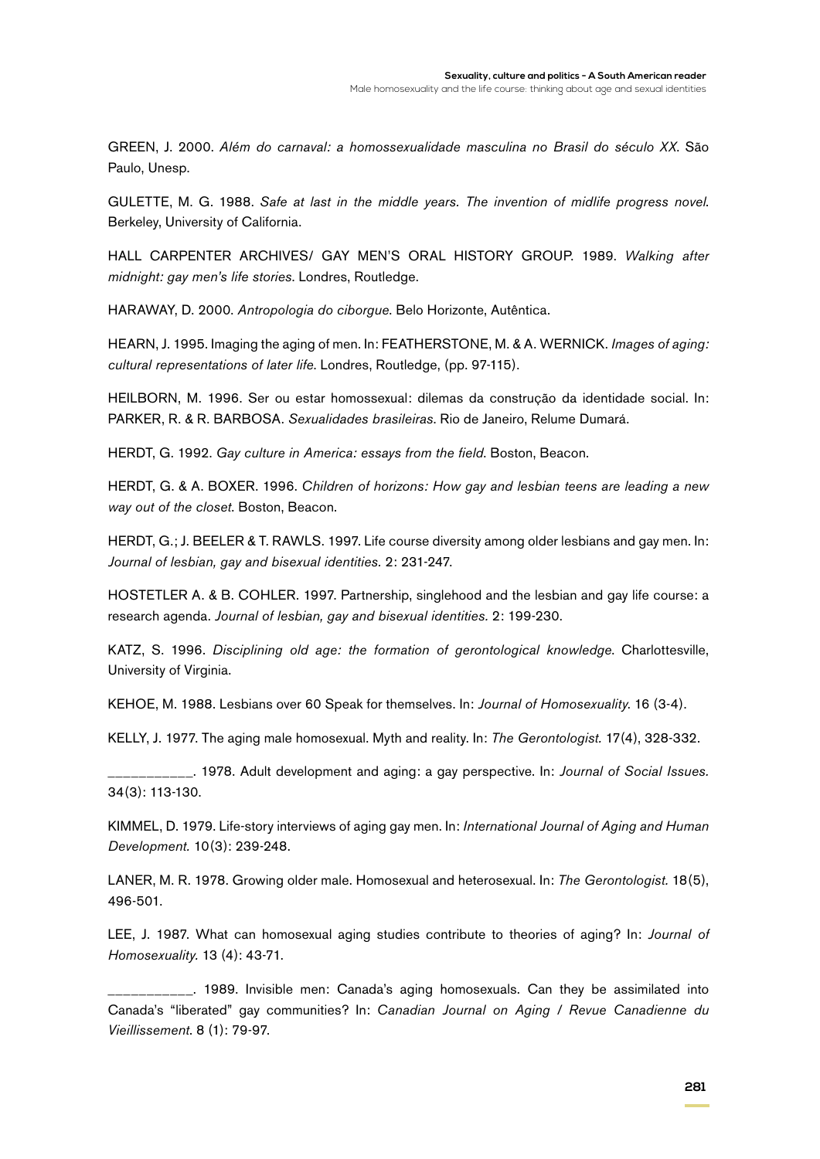GREEN, J. 2000. *Além do carnaval: a homossexualidade masculina no Brasil do século XX*. São Paulo, Unesp.

GULETTE, M. G. 1988. *Safe at last in the middle years. The invention of midlife progress novel*. Berkeley, University of California.

HALL CARPENTER ARCHIVES/ GAY MEN'S ORAL HISTORY GROUP. 1989. *Walking after midnight: gay men's life stories*. Londres, Routledge.

HARAWAY, D. 2000. *Antropologia do ciborgue*. Belo Horizonte, Autêntica.

HEARN, J. 1995. Imaging the aging of men. In: FEATHERSTONE, M. & A. WERNICK. *Images of aging: cultural representations of later life*. Londres, Routledge, (pp. 97-115).

HEILBORN, M. 1996. Ser ou estar homossexual: dilemas da construção da identidade social. In: PARKER, R. & R. BARBOSA. *Sexualidades brasileiras*. Rio de Janeiro, Relume Dumará.

HERDT, G. 1992. *Gay culture in America: essays from the field*. Boston, Beacon.

HERDT, G. & A. BOXER. 1996. *Children of horizons: How gay and lesbian teens are leading a new way out of the closet*. Boston, Beacon.

HERDT, G.; J. BEELER & T. RAWLS. 1997. Life course diversity among older lesbians and gay men. In: *Journal of lesbian, gay and bisexual identities.* 2: 231-247.

HOSTETLER A. & B. COHLER. 1997. Partnership, singlehood and the lesbian and gay life course: a research agenda. *Journal of lesbian, gay and bisexual identities.* 2: 199-230.

KATZ, S. 1996. *Disciplining old age: the formation of gerontological knowledge*. Charlottesville, University of Virginia.

KEHOE, M. 1988. Lesbians over 60 Speak for themselves. In: *Journal of Homosexuality*. 16 (3-4).

KELLY, J. 1977. The aging male homosexual. Myth and reality. In: *The Gerontologist.* 17(4), 328-332.

\_\_\_\_\_\_\_\_\_\_\_. 1978. Adult development and aging: a gay perspective. In: *Journal of Social Issues.* 34(3): 113-130.

KIMMEL, D. 1979. Life-story interviews of aging gay men. In: *International Journal of Aging and Human Development.* 10(3): 239-248.

LANER, M. R. 1978. Growing older male. Homosexual and heterosexual. In: *The Gerontologist.* 18(5), 496-501.

LEE, J. 1987. What can homosexual aging studies contribute to theories of aging? In: *Journal of Homosexuality.* 13 (4): 43-71.

\_\_\_\_\_\_\_\_\_\_\_. 1989. Invisible men: Canada's aging homosexuals. Can they be assimilated into Canada's "liberated" gay communities? In: *Canadian Journal on Aging / Revue Canadienne du Vieillissement*. 8 (1): 79-97.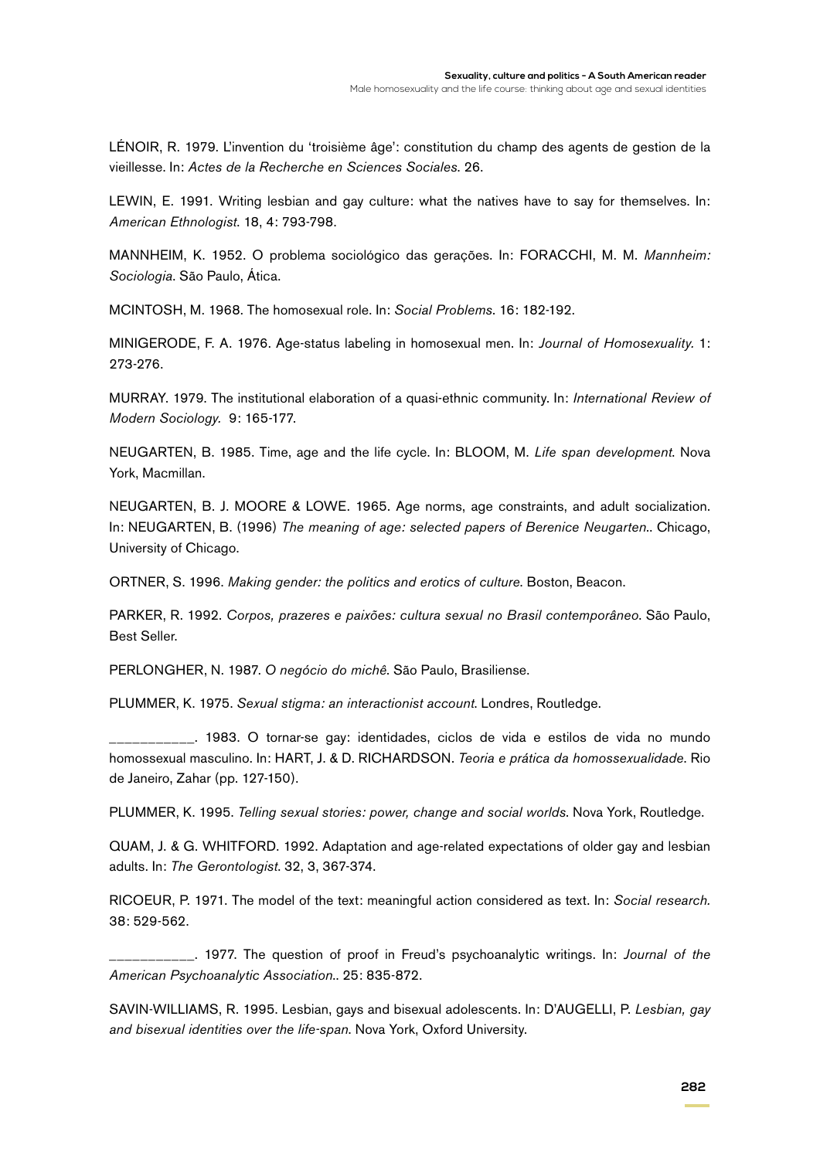LÉNOIR, R. 1979. L'invention du 'troisième âge': constitution du champ des agents de gestion de la vieillesse. In: *Actes de la Recherche en Sciences Sociales*. 26.

LEWIN, E. 1991. Writing lesbian and gay culture: what the natives have to say for themselves. In: *American Ethnologist*. 18, 4: 793-798.

MANNHEIM, K. 1952. O problema sociológico das gerações. In: FORACCHI, M. M. *Mannheim: Sociologia*. São Paulo, Ática.

MCINTOSH, M. 1968. The homosexual role. In: *Social Problems*. 16: 182-192.

MINIGERODE, F. A. 1976. Age-status labeling in homosexual men. In: *Journal of Homosexuality.* 1: 273-276.

MURRAY. 1979. The institutional elaboration of a quasi-ethnic community. In: *International Review of Modern Sociology.* 9: 165-177.

NEUGARTEN, B. 1985. Time, age and the life cycle. In: BLOOM, M. *Life span development*. Nova York, Macmillan.

NEUGARTEN, B. J. MOORE & LOWE. 1965. Age norms, age constraints, and adult socialization. In: NEUGARTEN, B. (1996) *The meaning of age: selected papers of Berenice Neugarten*.. Chicago, University of Chicago.

ORTNER, S. 1996. *Making gender: the politics and erotics of culture*. Boston, Beacon.

PARKER, R. 1992. *Corpos, prazeres e paixões: cultura sexual no Brasil contemporâneo*. São Paulo, Best Seller.

PERLONGHER, N. 1987. *O negócio do michê*. São Paulo, Brasiliense.

PLUMMER, K. 1975. *Sexual stigma: an interactionist account*. Londres, Routledge.

\_\_\_\_\_\_\_\_\_\_\_. 1983. O tornar-se gay: identidades, ciclos de vida e estilos de vida no mundo homossexual masculino. In: HART, J. & D. RICHARDSON. *Teoria e prática da homossexualidade*. Rio de Janeiro, Zahar (pp. 127-150).

PLUMMER, K. 1995. *Telling sexual stories: power, change and social worlds*. Nova York, Routledge.

QUAM, J. & G. WHITFORD. 1992. Adaptation and age-related expectations of older gay and lesbian adults. In: *The Gerontologist*. 32, 3, 367-374.

RICOEUR, P. 1971. The model of the text: meaningful action considered as text. In: *Social research.* 38: 529-562.

\_\_\_\_\_\_\_\_\_\_\_. 1977. The question of proof in Freud's psychoanalytic writings. In: *Journal of the American Psychoanalytic Association*.. 25: 835-872.

SAVIN-WILLIAMS, R. 1995. Lesbian, gays and bisexual adolescents. In: D'AUGELLI, P. *Lesbian, gay and bisexual identities over the life-span*. Nova York, Oxford University.